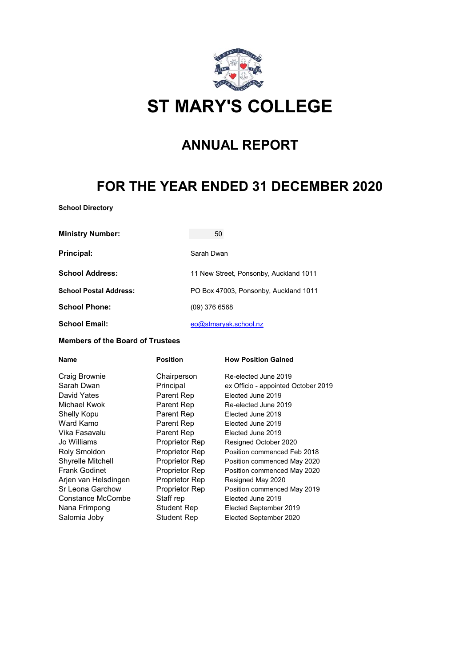

## **ST MARY'S COLLEGE**

## **ANNUAL REPORT**

## **FOR THE YEAR ENDED 31 DECEMBER 2020**

**School Directory**

| <b>Ministry Number:</b>       | 50                                     |
|-------------------------------|----------------------------------------|
| Principal:                    | Sarah Dwan                             |
| <b>School Address:</b>        | 11 New Street, Ponsonby, Auckland 1011 |
| <b>School Postal Address:</b> | PO Box 47003, Ponsonby, Auckland 1011  |
| <b>School Phone:</b>          | $(09)$ 376 6568                        |
| <b>School Email:</b>          | eo@stmaryak.school.nz                  |

#### **Members of the Board of Trustees**

| <b>Name</b>          | <b>Position</b>    | <b>How Position Gained</b>          |
|----------------------|--------------------|-------------------------------------|
| Craig Brownie        | Chairperson        | Re-elected June 2019                |
| Sarah Dwan           | Principal          | ex Officio - appointed October 2019 |
| David Yates          | Parent Rep         | Elected June 2019                   |
| Michael Kwok         | Parent Rep         | Re-elected June 2019                |
| Shelly Kopu          | Parent Rep         | Elected June 2019                   |
| Ward Kamo            | Parent Rep         | Elected June 2019                   |
| Vika Fasavalu        | Parent Rep         | Elected June 2019                   |
| Jo Williams          | Proprietor Rep     | Resigned October 2020               |
| Roly Smoldon         | Proprietor Rep     | Position commenced Feb 2018         |
| Shyrelle Mitchell    | Proprietor Rep     | Position commenced May 2020         |
| <b>Frank Godinet</b> | Proprietor Rep     | Position commenced May 2020         |
| Arjen van Helsdingen | Proprietor Rep     | Resigned May 2020                   |
| Sr Leona Garchow     | Proprietor Rep     | Position commenced May 2019         |
| Constance McCombe    | Staff rep          | Elected June 2019                   |
| Nana Frimpong        | Student Rep        | Elected September 2019              |
| Salomia Joby         | <b>Student Rep</b> | Elected September 2020              |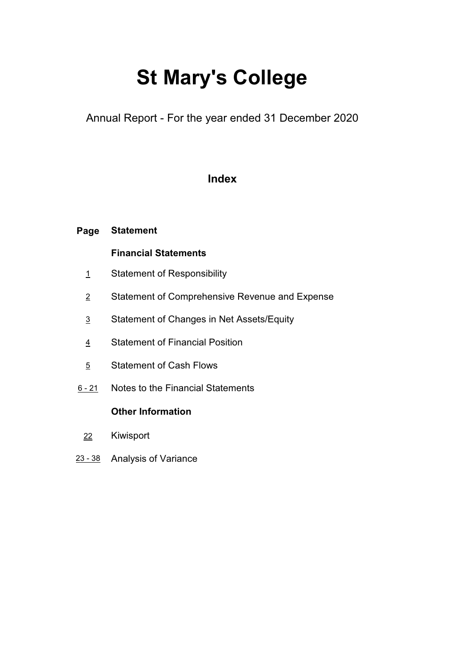# **St Mary's College**

Annual Report - For the year ended 31 December 2020

### **Index**

### **Page Statement**

### **Financial Statements**

- 1 Statement of Responsibility
- 2 Statement of Comprehensive Revenue and Expense
- 3 Statement of Changes in Net Assets/Equity
- 4 Statement of Financial Position
- 5 Statement of Cash Flows
- 6 21 Notes to the Financial Statements

### **Other Information**

- 22 Kiwisport
- 23 38 Analysis of Variance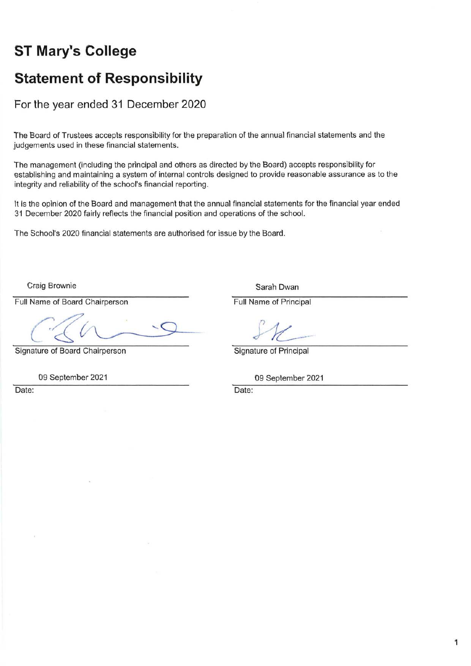## **ST Mary's College**

### **Statement of Responsibility**

For the year ended 31 December 2020

The Board of Trustees accepts responsibility for the preparation of the annual financial statements and the judgements used in these financial statements.

The management (including the principal and others as directed by the Board) accepts responsibility for establishing and maintaining a system of internal controls designed to provide reasonable assurance as to the integrity and reliability of the school's financial reporting.

It is the opinion of the Board and management that the annual financial statements for the financial year ended 31 December 2020 fairly reflects the financial position and operations of the school.

The School's 2020 financial statements are authorised for issue by the Board.

Craig Brownie

Full Name of Board Chairperson

Signature of Board Chairperson

09 September 2021

Date:

Sarah Dwan

Full Name of Principal

Signature of Principal

09 September 2021

Date: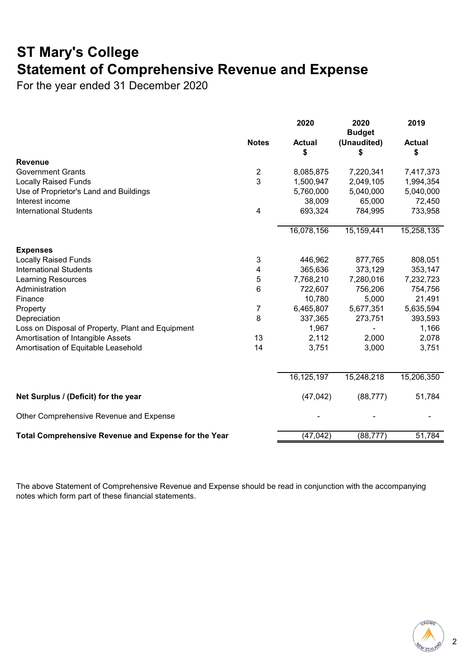## **ST Mary's College Statement of Comprehensive Revenue and Expense**

For the year ended 31 December 2020

|                                                      |                           | 2020                | 2020<br><b>Budget</b> | 2019                |
|------------------------------------------------------|---------------------------|---------------------|-----------------------|---------------------|
|                                                      | <b>Notes</b>              | <b>Actual</b><br>\$ | (Unaudited)<br>\$     | <b>Actual</b><br>\$ |
| <b>Revenue</b>                                       |                           |                     |                       |                     |
| <b>Government Grants</b>                             | $\overline{c}$            | 8,085,875           | 7,220,341             | 7,417,373           |
| <b>Locally Raised Funds</b>                          | 3                         | 1,500,947           | 2,049,105             | 1,994,354           |
| Use of Proprietor's Land and Buildings               |                           | 5,760,000           | 5,040,000             | 5,040,000           |
| Interest income                                      |                           | 38,009              | 65,000                | 72,450              |
| <b>International Students</b>                        | 4                         | 693,324             | 784,995               | 733,958             |
|                                                      |                           | 16,078,156          | 15,159,441            | 15,258,135          |
| <b>Expenses</b>                                      |                           |                     |                       |                     |
| <b>Locally Raised Funds</b>                          | $\ensuremath{\mathsf{3}}$ | 446,962             | 877,765               | 808,051             |
| <b>International Students</b>                        | 4                         | 365,636             | 373,129               | 353,147             |
| <b>Learning Resources</b>                            | 5                         | 7,768,210           | 7,280,016             | 7,232,723           |
| Administration                                       | 6                         | 722,607             | 756,206               | 754,756             |
| Finance                                              |                           | 10,780              | 5,000                 | 21,491              |
| Property                                             | $\overline{7}$            | 6,465,807           | 5,677,351             | 5,635,594           |
| Depreciation                                         | 8                         | 337,365             | 273,751               | 393,593             |
| Loss on Disposal of Property, Plant and Equipment    |                           | 1,967               |                       | 1,166               |
| Amortisation of Intangible Assets                    | 13                        | 2,112               | 2,000                 | 2,078               |
| Amortisation of Equitable Leasehold                  | 14                        | 3,751               | 3,000                 | 3,751               |
|                                                      |                           | 16,125,197          | 15,248,218            | 15,206,350          |
| Net Surplus / (Deficit) for the year                 |                           | (47, 042)           | (88, 777)             | 51,784              |
| Other Comprehensive Revenue and Expense              |                           |                     |                       |                     |
| Total Comprehensive Revenue and Expense for the Year |                           | (47, 042)           | (88, 777)             | 51,784              |

The above Statement of Comprehensive Revenue and Expense should be read in conjunction with the accompanying notes which form part of these financial statements.



2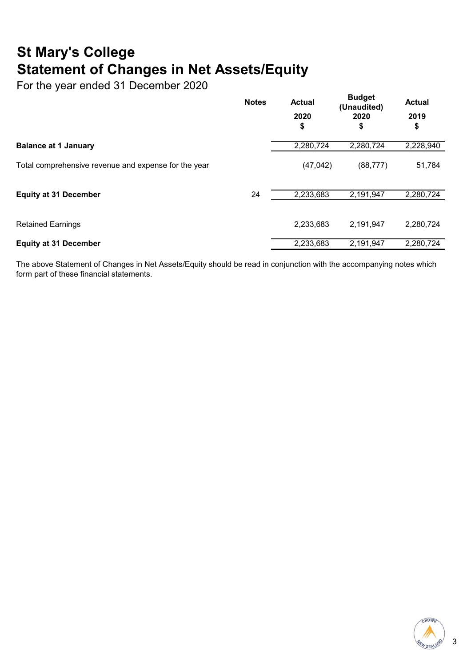## **St Mary's College Statement of Changes in Net Assets/Equity**

For the year ended 31 December 2020

|                                                      | <b>Notes</b> | <b>Actual</b> | <b>Budget</b><br>(Unaudited)<br>2020<br>\$ | <b>Actual</b> |
|------------------------------------------------------|--------------|---------------|--------------------------------------------|---------------|
|                                                      |              | 2020<br>\$    |                                            | 2019<br>\$    |
| <b>Balance at 1 January</b>                          |              | 2,280,724     | 2,280,724                                  | 2,228,940     |
| Total comprehensive revenue and expense for the year |              | (47, 042)     | (88, 777)                                  | 51,784        |
| <b>Equity at 31 December</b>                         | 24           | 2,233,683     | 2,191,947                                  | 2,280,724     |
| <b>Retained Earnings</b>                             |              | 2,233,683     | 2,191,947                                  | 2,280,724     |
| <b>Equity at 31 December</b>                         |              | 2,233,683     | 2,191,947                                  | 2,280,724     |

The above Statement of Changes in Net Assets/Equity should be read in conjunction with the accompanying notes which form part of these financial statements.

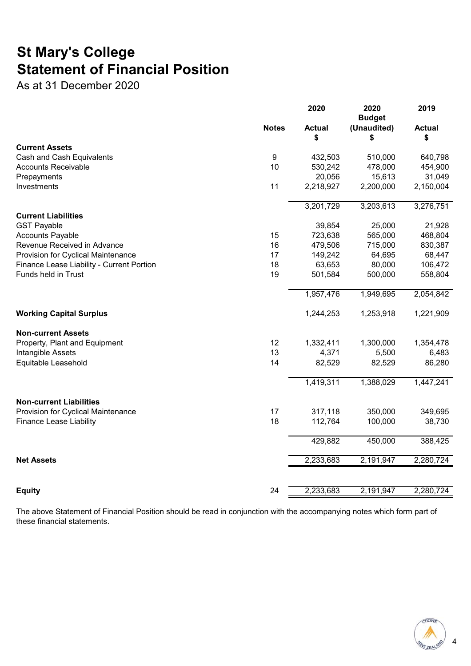## **St Mary's College Statement of Financial Position**

As at 31 December 2020

|                                                         |                  | 2020          | 2020<br><b>Budget</b> | 2019          |
|---------------------------------------------------------|------------------|---------------|-----------------------|---------------|
|                                                         | <b>Notes</b>     | <b>Actual</b> | (Unaudited)           | <b>Actual</b> |
| <b>Current Assets</b>                                   |                  | \$            | \$                    | \$            |
|                                                         | $\boldsymbol{9}$ | 432,503       | 510,000               | 640,798       |
| Cash and Cash Equivalents<br><b>Accounts Receivable</b> | 10               | 530,242       | 478,000               | 454,900       |
| Prepayments                                             |                  | 20,056        | 15,613                | 31,049        |
| Investments                                             | 11               | 2,218,927     | 2,200,000             | 2,150,004     |
|                                                         |                  |               |                       |               |
|                                                         |                  | 3,201,729     | 3,203,613             | 3,276,751     |
| <b>Current Liabilities</b>                              |                  |               |                       |               |
| <b>GST Payable</b>                                      |                  | 39,854        | 25,000                | 21,928        |
| <b>Accounts Payable</b>                                 | 15               | 723,638       | 565,000               | 468,804       |
| Revenue Received in Advance                             | 16               | 479,506       | 715,000               | 830,387       |
| Provision for Cyclical Maintenance                      | 17               | 149,242       | 64,695                | 68,447        |
| Finance Lease Liability - Current Portion               | 18               | 63,653        | 80,000                | 106,472       |
| Funds held in Trust                                     | 19               | 501,584       | 500,000               | 558,804       |
|                                                         |                  | 1,957,476     | 1,949,695             | 2,054,842     |
| <b>Working Capital Surplus</b>                          |                  | 1,244,253     | 1,253,918             | 1,221,909     |
| <b>Non-current Assets</b>                               |                  |               |                       |               |
| Property, Plant and Equipment                           | 12               | 1,332,411     | 1,300,000             | 1,354,478     |
| Intangible Assets                                       | 13               | 4,371         | 5,500                 | 6,483         |
| Equitable Leasehold                                     | 14               | 82,529        | 82,529                | 86,280        |
|                                                         |                  | 1,419,311     | 1,388,029             | 1,447,241     |
|                                                         |                  |               |                       |               |
| <b>Non-current Liabilities</b>                          | 17               |               | 350,000               |               |
| Provision for Cyclical Maintenance                      | 18               | 317,118       |                       | 349,695       |
| <b>Finance Lease Liability</b>                          |                  | 112,764       | 100,000               | 38,730        |
|                                                         |                  | 429,882       | 450,000               | 388,425       |
| <b>Net Assets</b>                                       |                  | 2,233,683     | 2,191,947             | 2,280,724     |
|                                                         |                  |               |                       |               |
| <b>Equity</b>                                           | 24               | 2,233,683     | 2,191,947             | 2,280,724     |

The above Statement of Financial Position should be read in conjunction with the accompanying notes which form part of these financial statements.



4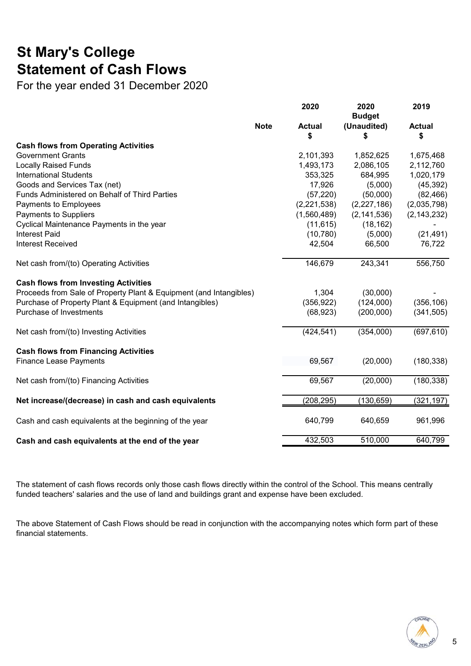## **St Mary's College Statement of Cash Flows**

For the year ended 31 December 2020

|                                                                    | 2020                | 2020<br><b>Budget</b> | 2019                |
|--------------------------------------------------------------------|---------------------|-----------------------|---------------------|
| <b>Note</b>                                                        | <b>Actual</b><br>\$ | (Unaudited)<br>\$     | <b>Actual</b><br>\$ |
| <b>Cash flows from Operating Activities</b>                        |                     |                       |                     |
| <b>Government Grants</b>                                           | 2,101,393           | 1,852,625             | 1,675,468           |
| <b>Locally Raised Funds</b>                                        | 1,493,173           | 2,086,105             | 2,112,760           |
| <b>International Students</b>                                      | 353,325             | 684,995               | 1,020,179           |
| Goods and Services Tax (net)                                       | 17,926              | (5,000)               | (45, 392)           |
| Funds Administered on Behalf of Third Parties                      | (57, 220)           | (50,000)              | (82, 466)           |
| Payments to Employees                                              | (2,221,538)         | (2, 227, 186)         | (2,035,798)         |
| Payments to Suppliers                                              | (1,560,489)         | (2, 141, 536)         | (2, 143, 232)       |
| Cyclical Maintenance Payments in the year                          | (11, 615)           | (18, 162)             |                     |
| <b>Interest Paid</b>                                               | (10, 780)           | (5,000)               | (21, 491)           |
| <b>Interest Received</b>                                           | 42,504              | 66,500                | 76,722              |
| Net cash from/(to) Operating Activities                            | 146,679             | 243,341               | 556,750             |
| <b>Cash flows from Investing Activities</b>                        |                     |                       |                     |
| Proceeds from Sale of Property Plant & Equipment (and Intangibles) | 1,304               | (30,000)              |                     |
| Purchase of Property Plant & Equipment (and Intangibles)           | (356, 922)          | (124,000)             | (356, 106)          |
| Purchase of Investments                                            | (68, 923)           | (200,000)             | (341, 505)          |
| Net cash from/(to) Investing Activities                            | (424, 541)          | (354,000)             | (697, 610)          |
| <b>Cash flows from Financing Activities</b>                        |                     |                       |                     |
| <b>Finance Lease Payments</b>                                      | 69,567              | (20,000)              | (180, 338)          |
| Net cash from/(to) Financing Activities                            | 69,567              | (20,000)              | (180, 338)          |
| Net increase/(decrease) in cash and cash equivalents               | (208, 295)          | (130, 659)            | (321, 197)          |
| Cash and cash equivalents at the beginning of the year             | 640,799             | 640,659               | 961,996             |
| Cash and cash equivalents at the end of the year                   | 432,503             | 510,000               | 640,799             |

The statement of cash flows records only those cash flows directly within the control of the School. This means centrally funded teachers' salaries and the use of land and buildings grant and expense have been excluded.

The above Statement of Cash Flows should be read in conjunction with the accompanying notes which form part of these financial statements.

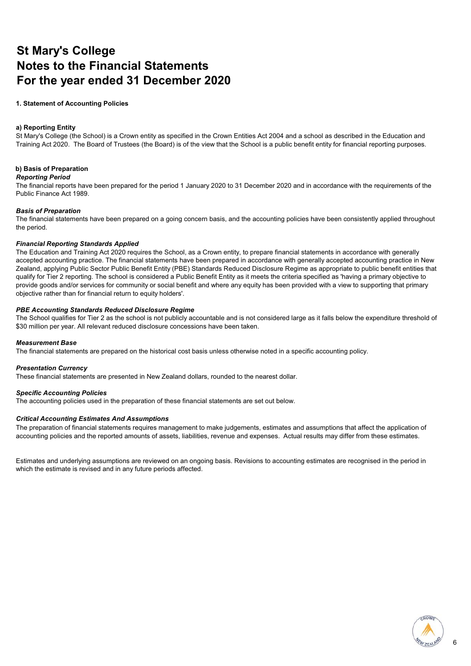### **St Mary's College Notes to the Financial Statements For the year ended 31 December 2020**

#### **1. Statement of Accounting Policies**

#### **D Reporting Entity**

St Mary's College (the School) is a Crown entity as specified in the Crown Entities Act 2004 and a school as described in the Education and Training Act 2020. The Board of Trustees (the Board) is of the view that the School is a public benefit entity for financial reporting purposes.

#### **E Basis of Preparation**

#### *Reporting Period*

The financial reports have been prepared for the period 1 January 2020 to 31 December 2020 and in accordance with the requirements of the Public Finance Act 1989.

#### *Basis of Preparation*

The financial statements have been prepared on a going concern basis, and the accounting policies have been consistently applied throughout the period.

#### *Financial Reporting Standards Applied*

The Education and Training Act 2020 requires the School, as a Crown entity, to prepare financial statements in accordance with generally accepted accounting practice. The financial statements have been prepared in accordance with generally accepted accounting practice in New Zealand, applying Public Sector Public Benefit Entity (PBE) Standards Reduced Disclosure Regime as appropriate to public benefit entities that qualify for Tier 2 reporting. The school is considered a Public Benefit Entity as it meets the criteria specified as 'having a primary objective to provide goods and/or services for community or social benefit and where any equity has been provided with a view to supporting that primary objective rather than for financial return to equity holders'.

#### *PBE Accounting Standards Reduced Disclosure Regime*

The School qualifies for Tier 2 as the school is not publicly accountable and is not considered large as it falls below the expenditure threshold of \$30 million per year. All relevant reduced disclosure concessions have been taken.

#### *Measurement Base*

The financial statements are prepared on the historical cost basis unless otherwise noted in a specific accounting policy.

#### *Presentation Currency*

These financial statements are presented in New Zealand dollars, rounded to the nearest dollar.

#### *Specific Accounting Policies*

The accounting policies used in the preparation of these financial statements are set out below.

#### *Critical Accounting Estimates And Assumptions*

The preparation of financial statements requires management to make judgements, estimates and assumptions that affect the application of accounting policies and the reported amounts of assets, liabilities, revenue and expenses. Actual results may differ from these estimates.

Estimates and underlying assumptions are reviewed on an ongoing basis. Revisions to accounting estimates are recognised in the period in which the estimate is revised and in any future periods affected.

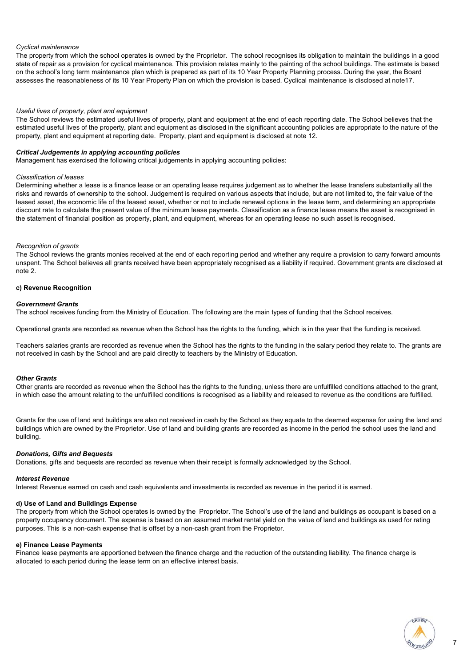#### *Cyclical maintenance*

The property from which the school operates is owned by the Proprietor. The school recognises its obligation to maintain the buildings in a good state of repair as a provision for cyclical maintenance. This provision relates mainly to the painting of the school buildings. The estimate is based on the school's long term maintenance plan which is prepared as part of its 10 Year Property Planning process. During the year, the Board assesses the reasonableness of its 10 Year Property Plan on which the provision is based. Cyclical maintenance is disclosed at note17.

#### *Useful lives of property, plant and equipment*

The School reviews the estimated useful lives of property, plant and equipment at the end of each reporting date. The School believes that the estimated useful lives of the property, plant and equipment as disclosed in the significant accounting policies are appropriate to the nature of the property, plant and equipment at reporting date. Property, plant and equipment is disclosed at note 12.

#### *Critical Judgements in applying accounting policies*

Management has exercised the following critical judgements in applying accounting policies:

#### *Classification of leases*

Determining whether a lease is a finance lease or an operating lease requires judgement as to whether the lease transfers substantially all the risks and rewards of ownership to the school. Judgement is required on various aspects that include, but are not limited to, the fair value of the leased asset, the economic life of the leased asset, whether or not to include renewal options in the lease term, and determining an appropriate discount rate to calculate the present value of the minimum lease payments. Classification as a finance lease means the asset is recognised in the statement of financial position as property, plant, and equipment, whereas for an operating lease no such asset is recognised.

#### *Recognition of grants*

The School reviews the grants monies received at the end of each reporting period and whether any require a provision to carry forward amounts unspent. The School believes all grants received have been appropriately recognised as a liability if required. Government grants are disclosed at note 2.

#### **c) Revenue Recognition**

#### *Government Grants*

The school receives funding from the Ministry of Education. The following are the main types of funding that the School receives.

Operational grants are recorded as revenue when the School has the rights to the funding, which is in the year that the funding is received.

Teachers salaries grants are recorded as revenue when the School has the rights to the funding in the salary period they relate to. The grants are not received in cash by the School and are paid directly to teachers by the Ministry of Education.

#### *Other Grants*

Other grants are recorded as revenue when the School has the rights to the funding, unless there are unfulfilled conditions attached to the grant, in which case the amount relating to the unfulfilled conditions is recognised as a liability and released to revenue as the conditions are fulfilled.

Grants for the use of land and buildings are also not received in cash by the School as they equate to the deemed expense for using the land and buildings which are owned by the Proprietor. Use of land and building grants are recorded as income in the period the school uses the land and building.

#### *Donations, Gifts and Bequests*

Donations, gifts and bequests are recorded as revenue when their receipt is formally acknowledged by the School.

#### *Interest Revenue*

Interest Revenue earned on cash and cash equivalents and investments is recorded as revenue in the period it is earned.

#### **d) Use of Land and Buildings Expense**

The property from which the School operates is owned by the Proprietor. The School's use of the land and buildings as occupant is based on a property occupancy document. The expense is based on an assumed market rental yield on the value of land and buildings as used for rating purposes. This is a non-cash expense that is offset by a non-cash grant from the Proprietor.

#### **e) Finance Lease Payments**

Finance lease payments are apportioned between the finance charge and the reduction of the outstanding liability. The finance charge is allocated to each period during the lease term on an effective interest basis.

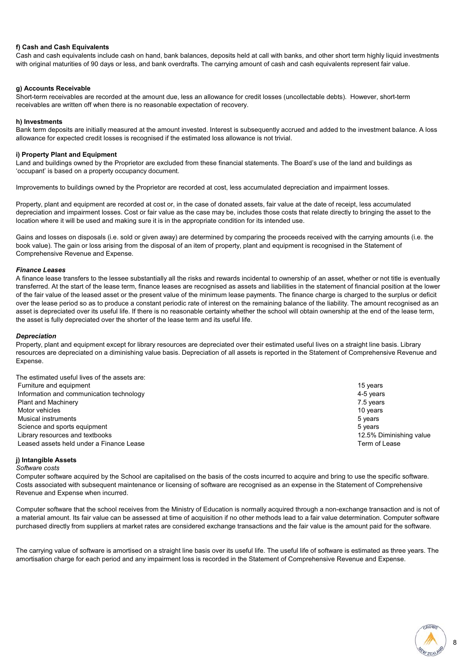#### **f) Cash and Cash Equivalents**

Cash and cash equivalents include cash on hand, bank balances, deposits held at call with banks, and other short term highly liquid investments with original maturities of 90 days or less, and bank overdrafts. The carrying amount of cash and cash equivalents represent fair value.

#### **g) Accounts Receivable**

Short-term receivables are recorded at the amount due, less an allowance for credit losses (uncollectable debts). However, short-term receivables are written off when there is no reasonable expectation of recovery.

#### **h) Investments**

Bank term deposits are initially measured at the amount invested. Interest is subsequently accrued and added to the investment balance. A loss allowance for expected credit losses is recognised if the estimated loss allowance is not trivial.

#### **i) Property Plant and Equipment**

Land and buildings owned by the Proprietor are excluded from these financial statements. The Board's use of the land and buildings as 'occupant' is based on a property occupancy document.

Improvements to buildings owned by the Proprietor are recorded at cost, less accumulated depreciation and impairment losses.

Property, plant and equipment are recorded at cost or, in the case of donated assets, fair value at the date of receipt, less accumulated depreciation and impairment losses. Cost or fair value as the case may be, includes those costs that relate directly to bringing the asset to the location where it will be used and making sure it is in the appropriate condition for its intended use.

Gains and losses on disposals (i.e. sold or given away) are determined by comparing the proceeds received with the carrying amounts (i.e. the book value). The gain or loss arising from the disposal of an item of property, plant and equipment is recognised in the Statement of Comprehensive Revenue and Expense.

#### *Finance Leases*

A finance lease transfers to the lessee substantially all the risks and rewards incidental to ownership of an asset, whether or not title is eventually transferred. At the start of the lease term, finance leases are recognised as assets and liabilities in the statement of financial position at the lower of the fair value of the leased asset or the present value of the minimum lease payments. The finance charge is charged to the surplus or deficit over the lease period so as to produce a constant periodic rate of interest on the remaining balance of the liability. The amount recognised as an asset is depreciated over its useful life. If there is no reasonable certainty whether the school will obtain ownership at the end of the lease term, the asset is fully depreciated over the shorter of the lease term and its useful life.

#### *Depreciation*

Property, plant and equipment except for library resources are depreciated over their estimated useful lives on a straight line basis. Library resources are depreciated on a diminishing value basis. Depreciation of all assets is reported in the Statement of Comprehensive Revenue and Expense.

| The estimated useful lives of the assets are: |                         |
|-----------------------------------------------|-------------------------|
| Furniture and equipment                       | 15 years                |
| Information and communication technology      | 4-5 years               |
| <b>Plant and Machinery</b>                    | 7.5 years               |
| Motor vehicles                                | 10 years                |
| <b>Musical instruments</b>                    | 5 years                 |
| Science and sports equipment                  | 5 vears                 |
| Library resources and textbooks               | 12.5% Diminishing value |
| Leased assets held under a Finance Lease      | Term of Lease           |

#### **j) Intangible Assets**

#### *Software costs*

Computer software acquired by the School are capitalised on the basis of the costs incurred to acquire and bring to use the specific software. Costs associated with subsequent maintenance or licensing of software are recognised as an expense in the Statement of Comprehensive Revenue and Expense when incurred.

Computer software that the school receives from the Ministry of Education is normally acquired through a non-exchange transaction and is not of a material amount. Its fair value can be assessed at time of acquisition if no other methods lead to a fair value determination. Computer software purchased directly from suppliers at market rates are considered exchange transactions and the fair value is the amount paid for the software.

The carrying value of software is amortised on a straight line basis over its useful life. The useful life of software is estimated as three years. The amortisation charge for each period and any impairment loss is recorded in the Statement of Comprehensive Revenue and Expense.

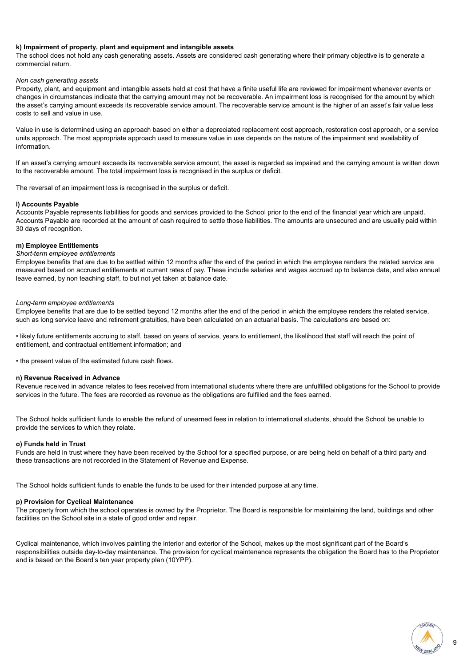#### **k) Impairment of property, plant and equipment and intangible assets**

The school does not hold any cash generating assets. Assets are considered cash generating where their primary objective is to generate a commercial return.

#### *Non cash generating assets*

Property, plant, and equipment and intangible assets held at cost that have a finite useful life are reviewed for impairment whenever events or changes in circumstances indicate that the carrying amount may not be recoverable. An impairment loss is recognised for the amount by which the asset's carrying amount exceeds its recoverable service amount. The recoverable service amount is the higher of an asset's fair value less costs to sell and value in use.

Value in use is determined using an approach based on either a depreciated replacement cost approach, restoration cost approach, or a service units approach. The most appropriate approach used to measure value in use depends on the nature of the impairment and availability of information.

If an asset's carrying amount exceeds its recoverable service amount, the asset is regarded as impaired and the carrying amount is written down to the recoverable amount. The total impairment loss is recognised in the surplus or deficit.

The reversal of an impairment loss is recognised in the surplus or deficit.

#### **l) Accounts Payable**

Accounts Payable represents liabilities for goods and services provided to the School prior to the end of the financial year which are unpaid. Accounts Payable are recorded at the amount of cash required to settle those liabilities. The amounts are unsecured and are usually paid within 30 days of recognition.

#### **m) Employee Entitlements**

#### *Short-term employee entitlements*

Employee benefits that are due to be settled within 12 months after the end of the period in which the employee renders the related service are measured based on accrued entitlements at current rates of pay. These include salaries and wages accrued up to balance date, and also annual leave earned, by non teaching staff, to but not yet taken at balance date.

#### *Long-term employee entitlements*

Employee benefits that are due to be settled beyond 12 months after the end of the period in which the employee renders the related service, such as long service leave and retirement gratuities, have been calculated on an actuarial basis. The calculations are based on:

• likely future entitlements accruing to staff, based on years of service, years to entitlement, the likelihood that staff will reach the point of entitlement, and contractual entitlement information; and

• the present value of the estimated future cash flows.

#### **n) Revenue Received in Advance**

Revenue received in advance relates to fees received from international students where there are unfulfilled obligations for the School to provide services in the future. The fees are recorded as revenue as the obligations are fulfilled and the fees earned.

The School holds sufficient funds to enable the refund of unearned fees in relation to international students, should the School be unable to provide the services to which they relate.

#### **o) Funds held in Trust**

Funds are held in trust where they have been received by the School for a specified purpose, or are being held on behalf of a third party and these transactions are not recorded in the Statement of Revenue and Expense.

The School holds sufficient funds to enable the funds to be used for their intended purpose at any time.

#### **p) Provision for Cyclical Maintenance**

The property from which the school operates is owned by the Proprietor. The Board is responsible for maintaining the land, buildings and other facilities on the School site in a state of good order and repair.

Cyclical maintenance, which involves painting the interior and exterior of the School, makes up the most significant part of the Board's responsibilities outside day-to-day maintenance. The provision for cyclical maintenance represents the obligation the Board has to the Proprietor and is based on the Board's ten year property plan (10YPP).

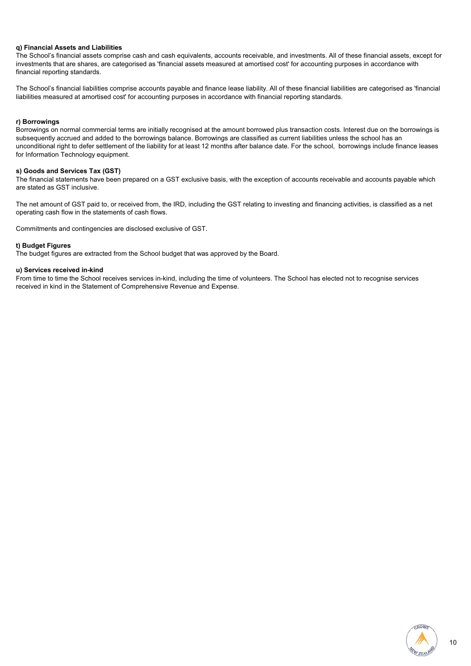#### **q) Financial Assets and Liabilities**

The School's financial assets comprise cash and cash equivalents, accounts receivable, and investments. All of these financial assets, except for investments that are shares, are categorised as 'financial assets measured at amortised cost' for accounting purposes in accordance with financial reporting standards.

The School's financial liabilities comprise accounts payable and finance lease liability. All of these financial liabilities are categorised as 'financial liabilities measured at amortised cost' for accounting purposes in accordance with financial reporting standards.

#### **r) Borrowings**

Borrowings on normal commercial terms are initially recognised at the amount borrowed plus transaction costs. Interest due on the borrowings is subsequently accrued and added to the borrowings balance. Borrowings are classified as current liabilities unless the school has an unconditional right to defer settlement of the liability for at least 12 months after balance date. For the school, borrowings include finance leases for Information Technology equipment.

#### **s) Goods and Services Tax (GST)**

The financial statements have been prepared on a GST exclusive basis, with the exception of accounts receivable and accounts payable which are stated as GST inclusive.

The net amount of GST paid to, or received from, the IRD, including the GST relating to investing and financing activities, is classified as a net operating cash flow in the statements of cash flows.

Commitments and contingencies are disclosed exclusive of GST.

#### **t) Budget Figures**

The budget figures are extracted from the School budget that was approved by the Board.

#### **u) Services received in-kind**

From time to time the School receives services in-kind, including the time of volunteers. The School has elected not to recognise services received in kind in the Statement of Comprehensive Revenue and Expense.

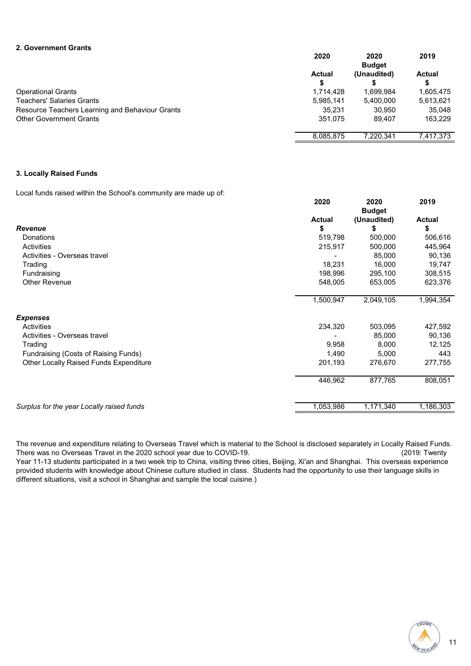#### **2. Government Grants**

|                                                 | 2020          | 2020<br><b>Budget</b> | 2019      |
|-------------------------------------------------|---------------|-----------------------|-----------|
|                                                 | <b>Actual</b> | (Unaudited)           | Actual    |
|                                                 | S             |                       |           |
| <b>Operational Grants</b>                       | 1.714.428     | 1.699.984             | 1,605,475 |
| <b>Teachers' Salaries Grants</b>                | 5,985,141     | 5,400,000             | 5,613,621 |
| Resource Teachers Learning and Behaviour Grants | 35.231        | 30.950                | 35.048    |
| <b>Other Government Grants</b>                  | 351.075       | 89.407                | 163.229   |
|                                                 | 8.085.875     | 7.220.341             | 7.417.373 |

#### **3. Locally Raised Funds**

Local funds raised within the School's community are made up of:

|                                           | 2020          | 2020<br><b>Budget</b> | 2019          |
|-------------------------------------------|---------------|-----------------------|---------------|
|                                           | <b>Actual</b> | (Unaudited)           | <b>Actual</b> |
| <b>Revenue</b>                            | \$            | \$                    | \$            |
| Donations                                 | 519,798       | 500,000               | 506,616       |
| Activities                                | 215,917       | 500,000               | 445,964       |
| Activities - Overseas travel              |               | 85,000                | 90,136        |
| Trading                                   | 18,231        | 16,000                | 19,747        |
| Fundraising                               | 198,996       | 295,100               | 308,515       |
| Other Revenue                             | 548,005       | 653,005               | 623,376       |
|                                           | 1,500,947     | 2,049,105             | 1,994,354     |
| <b>Expenses</b>                           |               |                       |               |
| Activities                                | 234,320       | 503,095               | 427,592       |
| Activities - Overseas travel              |               | 85,000                | 90,136        |
| Trading                                   | 9,958         | 8,000                 | 12,125        |
| Fundraising (Costs of Raising Funds)      | 1,490         | 5,000                 | 443           |
| Other Locally Raised Funds Expenditure    | 201,193       | 276,670               | 277,755       |
|                                           | 446,962       | 877,765               | 808,051       |
| Surplus for the year Locally raised funds | 1,053,986     | 1,171,340             | 1,186,303     |

The revenue and expenditure relating to Overseas Travel which is material to the School is disclosed separately in Locally Raised Funds. There was no Overseas Travel in the 2020 school year due to COVID-19. (2019: Twenty

Year 11-13 students participated in a two week trip to China, visiting three cities, Beijing, Xi'an and Shanghai. This overseas experience provided students with knowledge about Chinese culture studied in class. Students had the opportunity to use their language skills in different situations, visit a school in Shanghai and sample the local cuisine.)

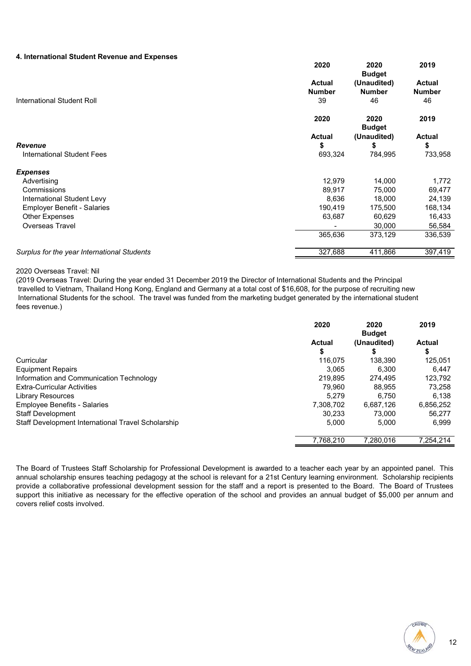#### **4. International Student Revenue and Expenses**

|                                             | 2020          | 2020<br><b>Budget</b> | 2019          |
|---------------------------------------------|---------------|-----------------------|---------------|
|                                             | <b>Actual</b> | (Unaudited)           | <b>Actual</b> |
|                                             | <b>Number</b> | <b>Number</b>         | <b>Number</b> |
| International Student Roll                  | 39            | 46                    | 46            |
|                                             | 2020          | 2020<br><b>Budget</b> | 2019          |
|                                             | <b>Actual</b> | (Unaudited)           | <b>Actual</b> |
| Revenue                                     | \$            | \$                    | \$            |
| <b>International Student Fees</b>           | 693,324       | 784,995               | 733,958       |
| <b>Expenses</b>                             |               |                       |               |
| Advertising                                 | 12,979        | 14,000                | 1,772         |
| Commissions                                 | 89,917        | 75,000                | 69,477        |
| International Student Levy                  | 8,636         | 18,000                | 24,139        |
| <b>Employer Benefit - Salaries</b>          | 190,419       | 175,500               | 168,134       |
| <b>Other Expenses</b>                       | 63,687        | 60,629                | 16,433        |
| <b>Overseas Travel</b>                      |               | 30,000                | 56,584        |
|                                             | 365,636       | 373,129               | 336,539       |
| Surplus for the year International Students | 327,688       | 411,866               | 397,419       |

#### 2020 Overseas Travel: Nil

(2019 Overseas Travel: During the year ended 31 December 2019 the Director of International Students and the Principal travelled to Vietnam, Thailand Hong Kong, England and Germany at a total cost of \$16,608, for the purpose of recruiting new International Students for the school. The travel was funded from the marketing budget generated by the international student fees revenue.)

|                                                    | 2020          | 2020<br><b>Budget</b> | 2019          |
|----------------------------------------------------|---------------|-----------------------|---------------|
|                                                    | <b>Actual</b> | (Unaudited)           | <b>Actual</b> |
|                                                    | \$            | S                     | \$            |
| Curricular                                         | 116.075       | 138.390               | 125,051       |
| <b>Equipment Repairs</b>                           | 3.065         | 6.300                 | 6.447         |
| Information and Communication Technology           | 219.895       | 274.495               | 123.792       |
| <b>Extra-Curricular Activities</b>                 | 79.960        | 88.955                | 73.258        |
| <b>Library Resources</b>                           | 5.279         | 6.750                 | 6.138         |
| <b>Employee Benefits - Salaries</b>                | 7,308,702     | 6,687,126             | 6,856,252     |
| <b>Staff Development</b>                           | 30.233        | 73,000                | 56.277        |
| Staff Development International Travel Scholarship | 5.000         | 5.000                 | 6.999         |
|                                                    | 7,768,210     | 7.280.016             | 7.254.214     |

The Board of Trustees Staff Scholarship for Professional Development is awarded to a teacher each year by an appointed panel. This annual scholarship ensures teaching pedagogy at the school is relevant for a 21st Century learning environment. Scholarship recipients provide a collaborative professional development session for the staff and a report is presented to the Board. The Board of Trustees support this initiative as necessary for the effective operation of the school and provides an annual budget of \$5,000 per annum and covers relief costs involved.

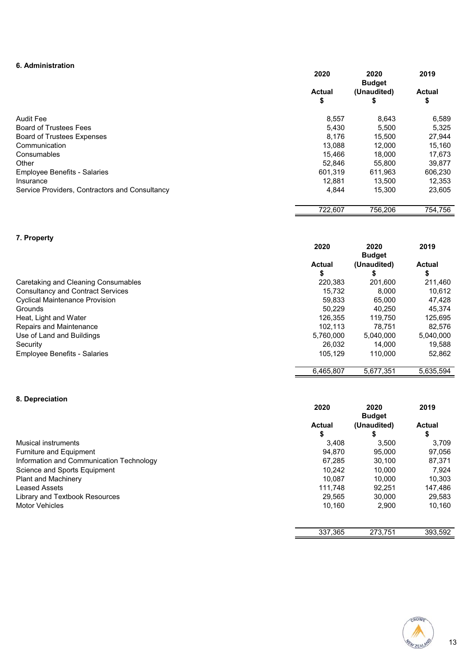### **6. Administration**

|                                                | 2020         | 2020<br><b>Budget</b> | 2019                |
|------------------------------------------------|--------------|-----------------------|---------------------|
|                                                | Actual<br>\$ | (Unaudited)<br>\$     | <b>Actual</b><br>\$ |
| <b>Audit Fee</b>                               | 8,557        | 8,643                 | 6,589               |
| <b>Board of Trustees Fees</b>                  | 5.430        | 5,500                 | 5,325               |
| <b>Board of Trustees Expenses</b>              | 8.176        | 15.500                | 27,944              |
| Communication                                  | 13.088       | 12.000                | 15.160              |
| Consumables                                    | 15.466       | 18.000                | 17,673              |
| Other                                          | 52.846       | 55,800                | 39.877              |
| <b>Employee Benefits - Salaries</b>            | 601.319      | 611.963               | 606,230             |
| Insurance                                      | 12,881       | 13.500                | 12,353              |
| Service Providers, Contractors and Consultancy | 4,844        | 15,300                | 23,605              |

### **7. Property**

|                                          | 2020          | 2020<br><b>Budget</b> | 2019          |
|------------------------------------------|---------------|-----------------------|---------------|
|                                          | <b>Actual</b> | (Unaudited)           | <b>Actual</b> |
|                                          | \$            |                       | S             |
| Caretaking and Cleaning Consumables      | 220,383       | 201,600               | 211,460       |
| <b>Consultancy and Contract Services</b> | 15.732        | 8.000                 | 10,612        |
| <b>Cyclical Maintenance Provision</b>    | 59.833        | 65,000                | 47,428        |
| Grounds                                  | 50.229        | 40.250                | 45.374        |
| Heat, Light and Water                    | 126.355       | 119.750               | 125,695       |
| Repairs and Maintenance                  | 102.113       | 78.751                | 82.576        |
| Use of Land and Buildings                | 5.760.000     | 5,040,000             | 5.040.000     |
| Security                                 | 26.032        | 14.000                | 19,588        |
| <b>Employee Benefits - Salaries</b>      | 105.129       | 110.000               | 52,862        |
|                                          | 6.465.807     | 5.677.351             | 5,635,594     |

### **8. Depreciation**

|                                          | 2020          | 2020<br><b>Budget</b> | 2019          |
|------------------------------------------|---------------|-----------------------|---------------|
|                                          | <b>Actual</b> | (Unaudited)           | <b>Actual</b> |
|                                          | \$            |                       | \$            |
| Musical instruments                      | 3.408         | 3.500                 | 3.709         |
| Furniture and Equipment                  | 94.870        | 95,000                | 97,056        |
| Information and Communication Technology | 67.285        | 30.100                | 87.371        |
| Science and Sports Equipment             | 10.242        | 10.000                | 7.924         |
| <b>Plant and Machinery</b>               | 10.087        | 10.000                | 10,303        |
| <b>Leased Assets</b>                     | 111.748       | 92.251                | 147.486       |
| Library and Textbook Resources           | 29.565        | 30,000                | 29,583        |
| <b>Motor Vehicles</b>                    | 10,160        | 2,900                 | 10,160        |



756,206 722,607 754,756

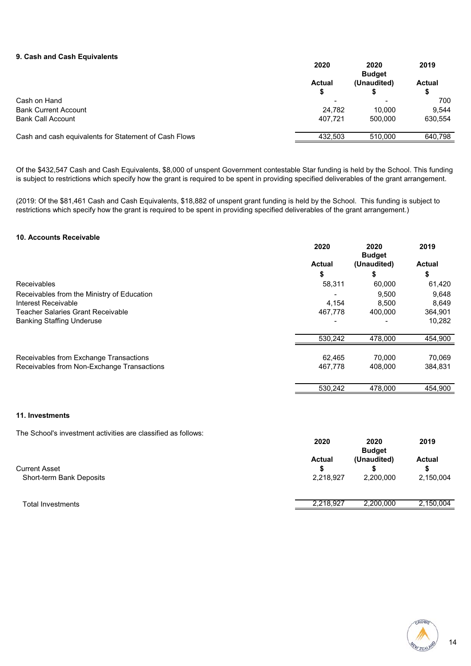#### **9. Cash and Cash Equivalents**

|                                                       | 2020                     | 2020<br><b>Budget</b> | 2019    |
|-------------------------------------------------------|--------------------------|-----------------------|---------|
|                                                       | <b>Actual</b>            | (Unaudited)           | Actual  |
|                                                       | S                        |                       | S       |
| Cash on Hand                                          | $\overline{\phantom{0}}$ |                       | 700     |
| <b>Bank Current Account</b>                           | 24.782                   | 10.000                | 9.544   |
| <b>Bank Call Account</b>                              | 407.721                  | 500,000               | 630.554 |
| Cash and cash equivalents for Statement of Cash Flows | 432.503                  | 510.000               | 640,798 |
|                                                       |                          |                       |         |

Of the \$432,547 Cash and Cash Equivalents, \$8,000 of unspent Government contestable Star funding is held by the School. This funding is subject to restrictions which specify how the grant is required to be spent in providing specified deliverables of the grant arrangement.

(2019: Of the \$81,461 Cash and Cash Equivalents, \$18,882 of unspent grant funding is held by the School. This funding is subject to restrictions which specify how the grant is required to be spent in providing specified deliverables of the grant arrangement.)

#### **10. Accounts Receivable**

|                                            | 2020          | 2020<br><b>Budget</b> | 2019          |
|--------------------------------------------|---------------|-----------------------|---------------|
|                                            | <b>Actual</b> | (Unaudited)           | <b>Actual</b> |
|                                            | \$            | 5                     | \$            |
| <b>Receivables</b>                         | 58,311        | 60,000                | 61,420        |
| Receivables from the Ministry of Education |               | 9.500                 | 9,648         |
| Interest Receivable                        | 4,154         | 8.500                 | 8,649         |
| <b>Teacher Salaries Grant Receivable</b>   | 467.778       | 400.000               | 364,901       |
| <b>Banking Staffing Underuse</b>           |               |                       | 10,282        |
|                                            | 530,242       | 478,000               | 454,900       |
| Receivables from Exchange Transactions     | 62.465        | 70,000                | 70,069        |
| Receivables from Non-Exchange Transactions | 467.778       | 408,000               | 384,831       |
|                                            | 530.242       | 478,000               | 454,900       |

#### **11. Investments**

The School's investment activities are classified as follows:

|                                                  | 2020<br>2019<br>2020<br><b>Budget</b>                                         |
|--------------------------------------------------|-------------------------------------------------------------------------------|
| <b>Current Asset</b><br>Short-term Bank Deposits | (Unaudited)<br>Actual<br><b>Actual</b><br>2,218,927<br>2,200,000<br>2,150,004 |
| <b>Total Investments</b>                         | 2.150.004<br>2.218.927<br>2.200.000                                           |
|                                                  |                                                                               |



14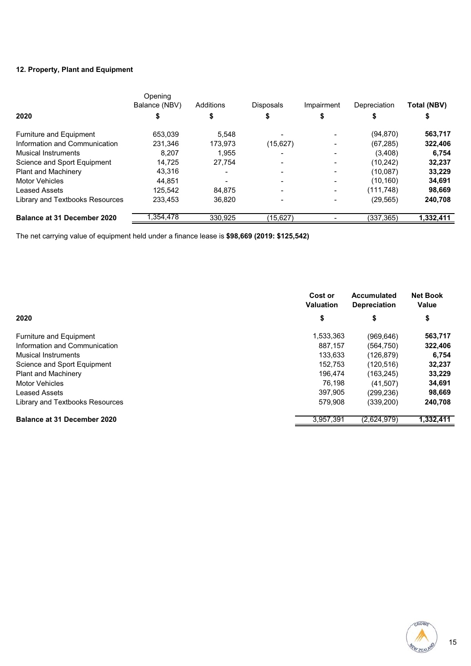### **12. Property, Plant and Equipment**

|                                    | Opening<br>Balance (NBV) | Additions | <b>Disposals</b> | Impairment | Depreciation | <b>Total (NBV)</b> |
|------------------------------------|--------------------------|-----------|------------------|------------|--------------|--------------------|
| 2020                               |                          |           |                  |            |              |                    |
| <b>Furniture and Equipment</b>     | 653,039                  | 5.548     |                  |            | (94, 870)    | 563,717            |
| Information and Communication      | 231,346                  | 173.973   | (15, 627)        |            | (67, 285)    | 322,406            |
| <b>Musical Instruments</b>         | 8.207                    | 1.955     | -                | -          | (3,408)      | 6,754              |
| Science and Sport Equipment        | 14.725                   | 27.754    |                  |            | (10, 242)    | 32,237             |
| <b>Plant and Machinery</b>         | 43,316                   |           |                  | ۰          | (10.087)     | 33,229             |
| <b>Motor Vehicles</b>              | 44.851                   |           |                  |            | (10, 160)    | 34,691             |
| <b>Leased Assets</b>               | 125.542                  | 84.875    |                  | ۰          | (111, 748)   | 98,669             |
| Library and Textbooks Resources    | 233.453                  | 36.820    |                  | -          | (29, 565)    | 240,708            |
| <b>Balance at 31 December 2020</b> | .354,478                 | 330.925   | (15,627)         |            | (337, 365)   | 1,332,411          |

The net carrying value of equipment held under a finance lease is **\$98,669 (2019: \$125,542)**

|                                    | Cost or<br><b>Valuation</b> | Accumulated<br><b>Depreciation</b> | <b>Net Book</b><br>Value |
|------------------------------------|-----------------------------|------------------------------------|--------------------------|
| 2020                               | \$                          | \$                                 | \$                       |
| Furniture and Equipment            | 1,533,363                   | (969, 646)                         | 563,717                  |
| Information and Communication      | 887.157                     | (564, 750)                         | 322,406                  |
| Musical Instruments                | 133,633                     | (126, 879)                         | 6,754                    |
| Science and Sport Equipment        | 152,753                     | (120, 516)                         | 32,237                   |
| <b>Plant and Machinery</b>         | 196.474                     | (163, 245)                         | 33,229                   |
| <b>Motor Vehicles</b>              | 76.198                      | (41,507)                           | 34,691                   |
| <b>Leased Assets</b>               | 397.905                     | (299,236)                          | 98,669                   |
| Library and Textbooks Resources    | 579.908                     | (339, 200)                         | 240,708                  |
| <b>Balance at 31 December 2020</b> | 3.957.391                   | (2,624,979)                        | 1,332,411                |

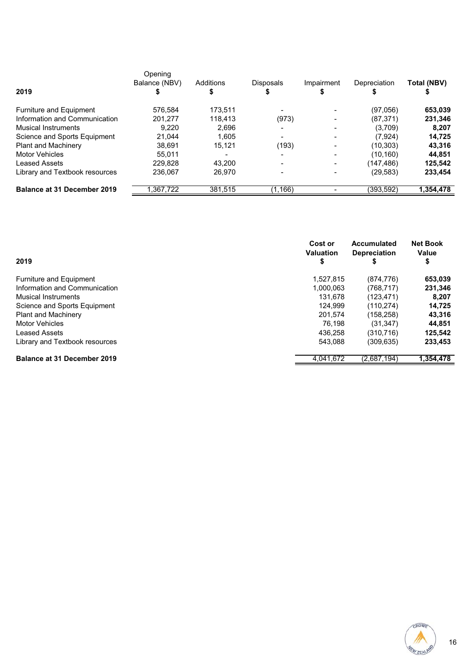|                                    | Opening<br>Balance (NBV) | Additions |                  |            |              |             |
|------------------------------------|--------------------------|-----------|------------------|------------|--------------|-------------|
| 2019                               |                          |           | <b>Disposals</b> | Impairment | Depreciation | Total (NBV) |
| Furniture and Equipment            | 576.584                  | 173.511   | -                |            | (97,056)     | 653,039     |
| Information and Communication      | 201,277                  | 118.413   | (973)            |            | (87, 371)    | 231,346     |
| <b>Musical Instruments</b>         | 9.220                    | 2.696     | -                |            | (3,709)      | 8,207       |
| Science and Sports Equipment       | 21.044                   | 1.605     |                  |            | (7, 924)     | 14,725      |
| <b>Plant and Machinery</b>         | 38.691                   | 15,121    | (193)            |            | (10, 303)    | 43,316      |
| <b>Motor Vehicles</b>              | 55.011                   | -         | -                |            | (10.160)     | 44,851      |
| <b>Leased Assets</b>               | 229.828                  | 43.200    |                  |            | (147,486)    | 125,542     |
| Library and Textbook resources     | 236.067                  | 26.970    |                  |            | (29, 583)    | 233,454     |
| <b>Balance at 31 December 2019</b> | 1.367.722                | 381,515   | (1, 166)         |            | (393,592)    | 1,354,478   |

| 2019                               | Cost or<br><b>Valuation</b><br>\$ | Accumulated<br><b>Depreciation</b><br>5 | <b>Net Book</b><br>Value<br>\$ |
|------------------------------------|-----------------------------------|-----------------------------------------|--------------------------------|
| Furniture and Equipment            | 1,527,815                         | (874, 776)                              | 653,039                        |
| Information and Communication      | 1.000.063                         | (768.717)                               | 231,346                        |
| <b>Musical Instruments</b>         | 131.678                           | (123, 471)                              | 8,207                          |
| Science and Sports Equipment       | 124.999                           | (110, 274)                              | 14,725                         |
| <b>Plant and Machinery</b>         | 201.574                           | (158, 258)                              | 43,316                         |
| <b>Motor Vehicles</b>              | 76,198                            | (31, 347)                               | 44,851                         |
| Leased Assets                      | 436.258                           | (310.716)                               | 125,542                        |
| Library and Textbook resources     | 543.088                           | (309, 635)                              | 233,453                        |
| <b>Balance at 31 December 2019</b> | 4.041.672                         | (2,687,194)                             | 1,354,478                      |

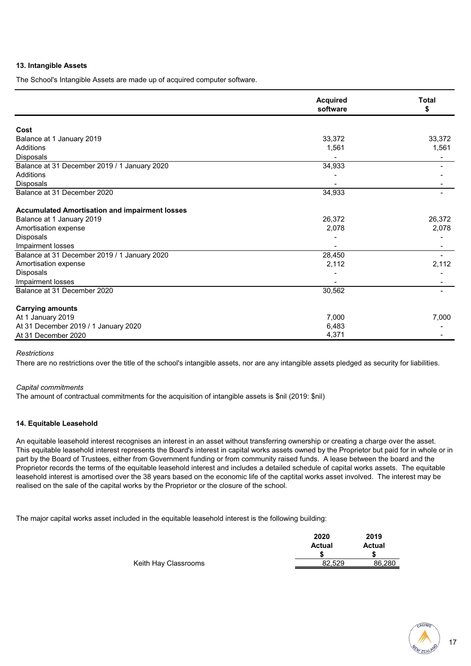#### **13. Intangible Assets**

The School's Intangible Assets are made up of acquired computer software.

|                                                       | <b>Acquired</b><br>software | <b>Total</b><br>\$ |
|-------------------------------------------------------|-----------------------------|--------------------|
|                                                       |                             |                    |
| Cost                                                  |                             |                    |
| Balance at 1 January 2019                             | 33,372                      | 33,372             |
| Additions                                             | 1,561                       | 1,561              |
| <b>Disposals</b>                                      |                             |                    |
| Balance at 31 December 2019 / 1 January 2020          | 34,933                      |                    |
| Additions                                             |                             |                    |
| Disposals                                             |                             |                    |
| Balance at 31 December 2020                           | 34,933                      |                    |
| <b>Accumulated Amortisation and impairment losses</b> |                             |                    |
| Balance at 1 January 2019                             | 26,372                      | 26,372             |
| Amortisation expense                                  | 2,078                       | 2,078              |
| Disposals                                             |                             |                    |
| Impairment losses                                     |                             |                    |
| Balance at 31 December 2019 / 1 January 2020          | 28,450                      |                    |
| Amortisation expense                                  | 2,112                       | 2,112              |
| Disposals                                             |                             |                    |
| Impairment losses                                     |                             |                    |
| Balance at 31 December 2020                           | 30,562                      |                    |
| <b>Carrying amounts</b>                               |                             |                    |
| At 1 January 2019                                     | 7,000                       | 7,000              |
| At 31 December 2019 / 1 January 2020                  | 6,483                       |                    |
| At 31 December 2020                                   | 4,371                       |                    |

#### *Restrictions*

There are no restrictions over the title of the school's intangible assets, nor are any intangible assets pledged as security for liabilities.

#### *Capital commitments*

The amount of contractual commitments for the acquisition of intangible assets is \$nil (2019: \$nil)

#### **14. Equitable Leasehold**

An equitable leasehold interest recognises an interest in an asset without transferring ownership or creating a charge over the asset. This equitable leasehold interest represents the Board's interest in capital works assets owned by the Proprietor but paid for in whole or in part by the Board of Trustees, either from Government funding or from community raised funds. A lease between the board and the Proprietor records the terms of the equitable leasehold interest and includes a detailed schedule of capital works assets. The equitable leasehold interest is amortised over the 38 years based on the economic life of the captital works asset involved. The interest may be realised on the sale of the capital works by the Proprietor or the closure of the school.

The major capital works asset included in the equitable leasehold interest is the following building:

|                      | 2020   | 2019          |
|----------------------|--------|---------------|
|                      | Actual | <b>Actual</b> |
|                      |        |               |
| Keith Hay Classrooms | 82.529 | 86.280        |

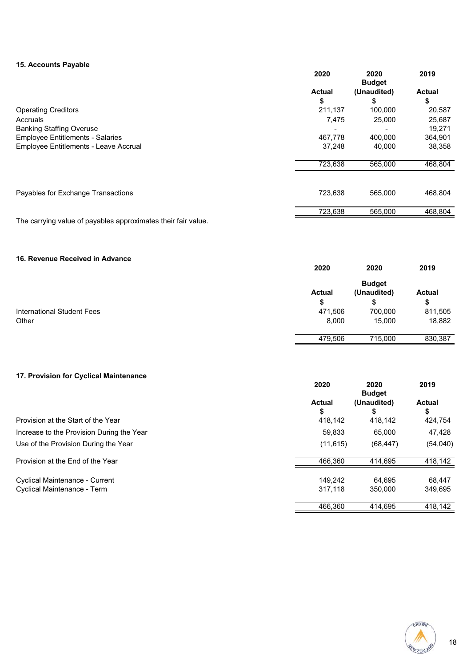#### **15. Accounts Payable**

|                                         | 2020          | 2020<br><b>Budget</b> | 2019          |
|-----------------------------------------|---------------|-----------------------|---------------|
|                                         | <b>Actual</b> | (Unaudited)           | <b>Actual</b> |
|                                         | \$            | \$                    | \$            |
| <b>Operating Creditors</b>              | 211,137       | 100,000               | 20,587        |
| Accruals                                | 7.475         | 25,000                | 25,687        |
| <b>Banking Staffing Overuse</b>         |               |                       | 19,271        |
| <b>Employee Entitlements - Salaries</b> | 467,778       | 400,000               | 364,901       |
| Employee Entitlements - Leave Accrual   | 37,248        | 40,000                | 38,358        |
|                                         | 723,638       | 565,000               | 468,804       |
|                                         |               |                       |               |
| Payables for Exchange Transactions      | 723.638       | 565.000               | 468,804       |
|                                         | 723,638       | 565,000               | 468,804       |

The carrying value of payables approximates their fair value.

#### **16. Revenue Received in Advance**

|                                   | 2020          | 2020          | 2019          |
|-----------------------------------|---------------|---------------|---------------|
|                                   |               | <b>Budget</b> |               |
|                                   | <b>Actual</b> | (Unaudited)   | <b>Actual</b> |
|                                   | D             |               | \$            |
| <b>International Student Fees</b> | 471,506       | 700,000       | 811,505       |
| Other                             | 8,000         | 15,000        | 18,882        |
|                                   |               |               |               |
|                                   | 479.506       | 715,000       | 830,387       |

#### **17. Provision for Cyclical Maintenance**

|                                           | 2020                | 2020<br><b>Budget</b> | 2019         |
|-------------------------------------------|---------------------|-----------------------|--------------|
|                                           | <b>Actual</b><br>\$ | (Unaudited)           | Actual<br>\$ |
| Provision at the Start of the Year        | 418,142             | 418.142               | 424,754      |
| Increase to the Provision During the Year | 59.833              | 65,000                | 47,428       |
| Use of the Provision During the Year      | (11, 615)           | (68, 447)             | (54,040)     |
| Provision at the End of the Year          | 466.360             | 414.695               | 418,142      |
| <b>Cyclical Maintenance - Current</b>     | 149.242             | 64.695                | 68.447       |
| Cyclical Maintenance - Term               | 317.118             | 350,000               | 349,695      |
|                                           | 466.360             | 414.695               | 418.142      |

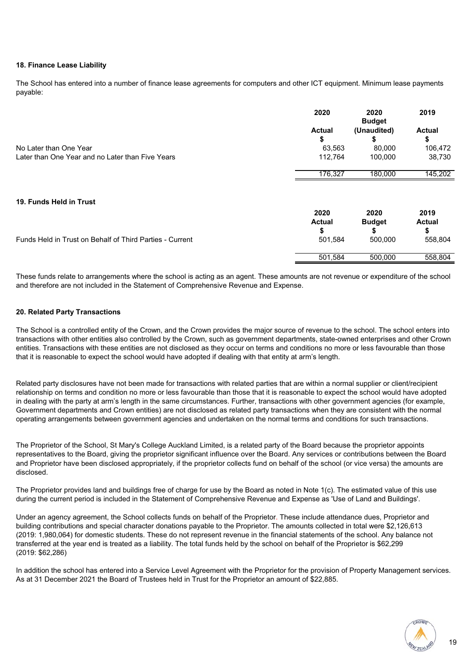#### **18. Finance Lease Liability**

The School has entered into a number of finance lease agreements for computers and other ICT equipment. Minimum lease payments payable:

|                                                  | 2020          | 2020<br><b>Budget</b> | 2019          |
|--------------------------------------------------|---------------|-----------------------|---------------|
|                                                  | <b>Actual</b> | (Unaudited)           | <b>Actual</b> |
|                                                  | \$            |                       | \$            |
| No Later than One Year                           | 63,563        | 80,000                | 106,472       |
| Later than One Year and no Later than Five Years | 112,764       | 100.000               | 38,730        |
|                                                  | 176.327       | 180.000               | 145,202       |
|                                                  |               |                       |               |

#### **19. Funds Held in Trust**

|                                                          | 2020          | 2020          | 2019          |
|----------------------------------------------------------|---------------|---------------|---------------|
|                                                          | <b>Actual</b> | <b>Budget</b> | <b>Actual</b> |
|                                                          |               |               |               |
| Funds Held in Trust on Behalf of Third Parties - Current | 501.584       | 500,000       | 558.804       |
|                                                          | 501.584       | 500.000       | 558.804       |

These funds relate to arrangements where the school is acting as an agent. These amounts are not revenue or expenditure of the school and therefore are not included in the Statement of Comprehensive Revenue and Expense.

#### **20. Related Party Transactions**

The School is a controlled entity of the Crown, and the Crown provides the major source of revenue to the school. The school enters into transactions with other entities also controlled by the Crown, such as government departments, state-owned enterprises and other Crown entities. Transactions with these entities are not disclosed as they occur on terms and conditions no more or less favourable than those that it is reasonable to expect the school would have adopted if dealing with that entity at arm's length.

Related party disclosures have not been made for transactions with related parties that are within a normal supplier or client/recipient relationship on terms and condition no more or less favourable than those that it is reasonable to expect the school would have adopted in dealing with the party at arm's length in the same circumstances. Further, transactions with other government agencies (for example, Government departments and Crown entities) are not disclosed as related party transactions when they are consistent with the normal operating arrangements between government agencies and undertaken on the normal terms and conditions for such transactions.

The Proprietor of the School, St Mary's College Auckland Limited, is a related party of the Board because the proprietor appoints representatives to the Board, giving the proprietor significant influence over the Board. Any services or contributions between the Board and Proprietor have been disclosed appropriately, if the proprietor collects fund on behalf of the school (or vice versa) the amounts are disclosed.

The Proprietor provides land and buildings free of charge for use by the Board as noted in Note 1(c). The estimated value of this use during the current period is included in the Statement of Comprehensive Revenue and Expense as 'Use of Land and Buildings'.

Under an agency agreement, the School collects funds on behalf of the Proprietor. These include attendance dues, Proprietor and building contributions and special character donations payable to the Proprietor. The amounts collected in total were \$2,126,613 (2019: 1,980,064) for domestic students. These do not represent revenue in the financial statements of the school. Any balance not transferred at the year end is treated as a liability. The total funds held by the school on behalf of the Proprietor is \$62,299 (2019: \$62,286)

In addition the school has entered into a Service Level Agreement with the Proprietor for the provision of Property Management services. As at 31 December 2021 the Board of Trustees held in Trust for the Proprietor an amount of \$22,885.

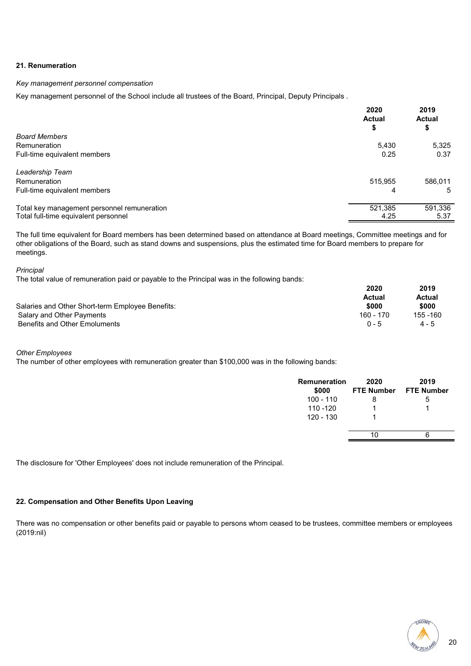#### **21. Renumeration**

#### *Key management personnel compensation*

Key management personnel of the School include all trustees of the Board, Principal, Deputy Principals.

|                                             | 2020<br><b>Actual</b> | 2019<br><b>Actual</b> |
|---------------------------------------------|-----------------------|-----------------------|
| <b>Board Members</b>                        | \$                    | \$                    |
| Remuneration                                | 5,430                 | 5,325                 |
| Full-time equivalent members                | 0.25                  | 0.37                  |
| Leadership Team                             |                       |                       |
| Remuneration                                | 515.955               | 586.011               |
| Full-time equivalent members                | 4                     | 5                     |
| Total key management personnel remuneration | 521,385               | 591,336               |
| Total full-time equivalent personnel        | 4.25                  | 5.37                  |

The full time equivalent for Board members has been determined based on attendance at Board meetings, Committee meetings and for other obligations of the Board, such as stand downs and suspensions, plus the estimated time for Board members to prepare for meetings.

#### *Principal*

The total value of remuneration paid or payable to the Principal was in the following bands:

|                                                  | 2020      | 2019      |
|--------------------------------------------------|-----------|-----------|
|                                                  | Actual    | Actual    |
| Salaries and Other Short-term Employee Benefits: | \$000     | \$000     |
| Salary and Other Payments                        | 160 - 170 | 155 - 160 |
| Benefits and Other Emoluments                    | $0 - 5$   | $4 - 5$   |

#### *Other Employees*

The number of other employees with remuneration greater than \$100,000 was in the following bands:

| Remuneration<br>\$000 | 2020<br><b>FTE Number</b> | 2019<br><b>FTE Number</b> |
|-----------------------|---------------------------|---------------------------|
| 100 - 110             | 8                         | ა                         |
| 110 - 120             |                           |                           |
| 120 - 130             |                           |                           |
|                       | 10                        | h                         |

The disclosure for 'Other Employees' does not include remuneration of the Principal.

#### **22. Compensation and Other Benefits Upon Leaving**

There was no compensation or other benefits paid or payable to persons whom ceased to be trustees, committee members or employees (2019:nil)

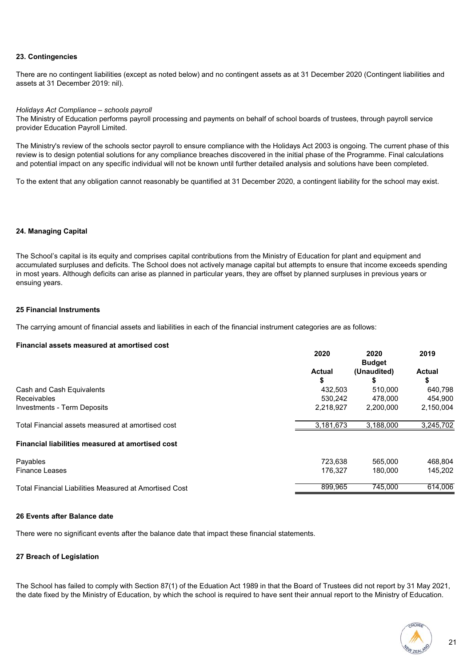#### **23. Contingencies**

There are no contingent liabilities (except as noted below) and no contingent assets as at 31 December 2020 (Contingent liabilities and assets at 31 December 2019: nil).

#### *Holidays Act Compliance – schools payroll*

The Ministry of Education performs payroll processing and payments on behalf of school boards of trustees, through payroll service provider Education Payroll Limited.

The Ministry's review of the schools sector payroll to ensure compliance with the Holidays Act 2003 is ongoing. The current phase of this review is to design potential solutions for any compliance breaches discovered in the initial phase of the Programme. Final calculations and potential impact on any specific individual will not be known until further detailed analysis and solutions have been completed.

To the extent that any obligation cannot reasonably be quantified at 31 December 2020, a contingent liability for the school may exist.

#### **24. Managing Capital**

The School's capital is its equity and comprises capital contributions from the Ministry of Education for plant and equipment and accumulated surpluses and deficits. The School does not actively manage capital but attempts to ensure that income exceeds spending in most years. Although deficits can arise as planned in particular years, they are offset by planned surpluses in previous years or ensuing years.

#### **25 Financial Instruments**

The carrying amount of financial assets and liabilities in each of the financial instrument categories are as follows:

#### **Financial assets measured at amortised cost**

|                                                         | 2020          | 2020<br><b>Budget</b> | 2019          |
|---------------------------------------------------------|---------------|-----------------------|---------------|
|                                                         | <b>Actual</b> | (Unaudited)           | <b>Actual</b> |
|                                                         | \$            |                       | \$            |
| Cash and Cash Equivalents                               | 432.503       | 510.000               | 640,798       |
| Receivables                                             | 530.242       | 478,000               | 454.900       |
| <b>Investments - Term Deposits</b>                      | 2.218.927     | 2.200.000             | 2,150,004     |
| Total Financial assets measured at amortised cost       | 3,181,673     | 3,188,000             | 3,245,702     |
| <b>Financial liabilities measured at amortised cost</b> |               |                       |               |
| Payables                                                | 723.638       | 565,000               | 468.804       |
| <b>Finance Leases</b>                                   | 176.327       | 180.000               | 145.202       |
| Total Financial Liabilities Measured at Amortised Cost  | 899.965       | 745,000               | 614.006       |

#### **26 Events after Balance date**

There were no significant events after the balance date that impact these financial statements.

#### **27 Breach of Legislation**

The School has failed to comply with Section 87(1) of the Eduation Act 1989 in that the Board of Trustees did not report by 31 May 2021, the date fixed by the Ministry of Education, by which the school is required to have sent their annual report to the Ministry of Education.

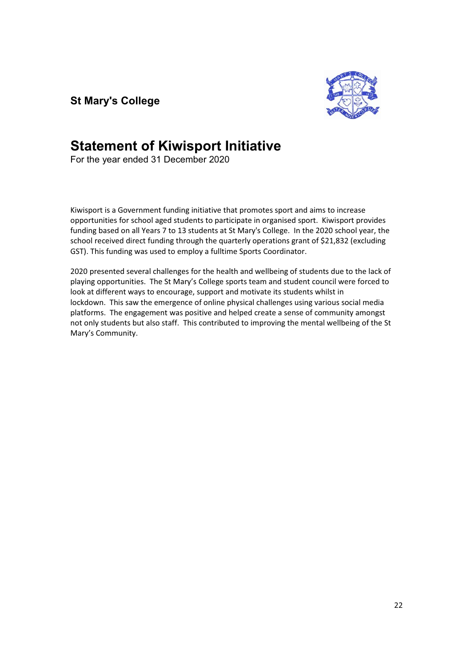**St Mary's College** 



## **Statement of Kiwisport Initiative**

For the year ended 31 December 2020

Kiwisport is a Government funding initiative that promotes sport and aims to increase opportunities for school aged students to participate in organised sport. Kiwisport provides funding based on all Years 7 to 13 students at St Mary's College. In the 2020 school year, the school received direct funding through the quarterly operations grant of \$21,832 (excluding GST). This funding was used to employ a fulltime Sports Coordinator.

2020 presented several challenges for the health and wellbeing of students due to the lack of playing opportunities. The St Mary's College sports team and student council were forced to look at different ways to encourage, support and motivate its students whilst in lockdown. This saw the emergence of online physical challenges using various social media platforms. The engagement was positive and helped create a sense of community amongst not only students but also staff. This contributed to improving the mental wellbeing of the St Mary's Community.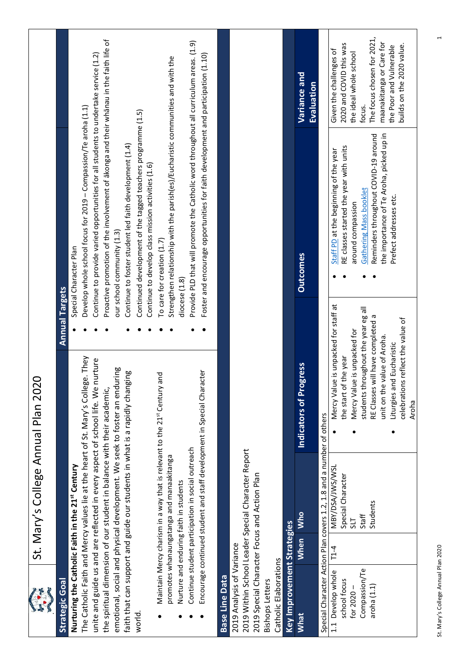|                                                 | St. Mary's College Annual Plan 2020                                                |                                                                 |                       |                                                                                        |                                                        |
|-------------------------------------------------|------------------------------------------------------------------------------------|-----------------------------------------------------------------|-----------------------|----------------------------------------------------------------------------------------|--------------------------------------------------------|
| <b>Strategic Goal</b>                           |                                                                                    |                                                                 | <b>Annual Targets</b> |                                                                                        |                                                        |
|                                                 | Nurturing the Catholic Faith in the 21st Century                                   |                                                                 |                       | Special Character Plan                                                                 |                                                        |
|                                                 | The Catholic Faith and Mercy values lie at the heart of St. Mary's College. They   |                                                                 |                       | Develop whole school focus for 2019 - Compassion/Te aroha (1.1)                        |                                                        |
|                                                 | unite and guide us and are reflected in every aspect of school life. We i          | nurture                                                         |                       | Continue to provide varied opportunities for all students to undertake service (1.2)   |                                                        |
|                                                 | the spiritual dimension of our student in balance with their academic,             |                                                                 |                       | Proactive promotion of the involvement of akonga and their whanau in the faith life of |                                                        |
|                                                 | emotional, social and physical development. We seek to foster an enduring          |                                                                 |                       | our school community (1.3)                                                             |                                                        |
|                                                 | faith that can support and guide our students in what is a rapidly changing        |                                                                 |                       | Continue to foster student led faith development (1.4)                                 |                                                        |
| world                                           |                                                                                    |                                                                 |                       | Continued development of the tagged teachers programme (1.5)                           |                                                        |
|                                                 |                                                                                    |                                                                 |                       | Continue to develop class mission activities (1.6)                                     |                                                        |
|                                                 | Maintain Mercy charism in a way that is relevant to the 21st Century               | and                                                             |                       | To care for creation (1.7)                                                             |                                                        |
|                                                 | promotes whanaungatanga and manaakitanga<br>Nurture and enduring faith in students |                                                                 | diocese $(1.8)$       | Strengthen relationship with the parish(es)/Eucharistic communities and with the       |                                                        |
|                                                 | Continue student participation in social outreach                                  |                                                                 |                       | Provide PLD that will promote the Catholic word throughout all curriculum areas. (1.9) |                                                        |
|                                                 | Encourage continued student and staff development in Special Character             |                                                                 |                       | Foster and encourage opportunities for faith development and participation (1.10)      |                                                        |
|                                                 |                                                                                    |                                                                 |                       |                                                                                        |                                                        |
| <b>Base Line Data</b>                           |                                                                                    |                                                                 |                       |                                                                                        |                                                        |
| 2019 Analysis of Variance                       |                                                                                    |                                                                 |                       |                                                                                        |                                                        |
|                                                 | 2019 Within School Leader Special Character Report                                 |                                                                 |                       |                                                                                        |                                                        |
|                                                 | 2019 Special Character Focus and Action Plan                                       |                                                                 |                       |                                                                                        |                                                        |
| Catholic Elaborations<br><b>Bishops Letters</b> |                                                                                    |                                                                 |                       |                                                                                        |                                                        |
| Key Improvement Strategies                      |                                                                                    |                                                                 |                       |                                                                                        |                                                        |
| What                                            | <b>Who</b><br><b>When</b>                                                          | gress<br>Indicators of Pro                                      |                       | <b>Outcomes</b>                                                                        | Variance and                                           |
|                                                 |                                                                                    |                                                                 |                       |                                                                                        | Evaluation                                             |
|                                                 | Special Character Action Plan covers 1.2, 1.8 and a number of others               |                                                                 |                       |                                                                                        |                                                        |
| Develop whole<br>school focus<br>1.1            | MBY/DSA/JWS/WSL<br>Special Character<br>$T1-4$                                     | Mercy Value is unpacked for staff at<br>the start of the year   |                       | RE classes started the year with units<br>Staff PD at the beginning of the year        | 2020 and COVID this was<br>Given the challenges of     |
| for 2020-                                       | <b>TIS</b>                                                                         | Mercy Value is unpacked for                                     |                       | around compassion                                                                      | the ideal whole school                                 |
| Compassion/Te                                   | Staff                                                                              | students throughout the year eg all                             |                       | <b>Gathering Mass booklet</b>                                                          | focus.                                                 |
| aroha (1.1)                                     | Students                                                                           | RE Classes will have completed a<br>unit on the value of Aroha. |                       | the importance of Te Aroha, picked up in<br>Reminders throughout COVID-19 around       | The focus chosen for 2021,<br>maanakitanga or Care for |
|                                                 |                                                                                    | Liturgies and Eucharistic                                       |                       | Prefect addresses etc.                                                                 | builds on the 2020 value.<br>the Poor and Vulnerable   |
|                                                 |                                                                                    | celebrations reflect the value of<br>Aroha                      |                       |                                                                                        |                                                        |
|                                                 |                                                                                    |                                                                 |                       |                                                                                        |                                                        |

**VICE LEWIS** 

St. Mary's College Annual Plan 2020 1 St. Mary's College Annual Plan 2020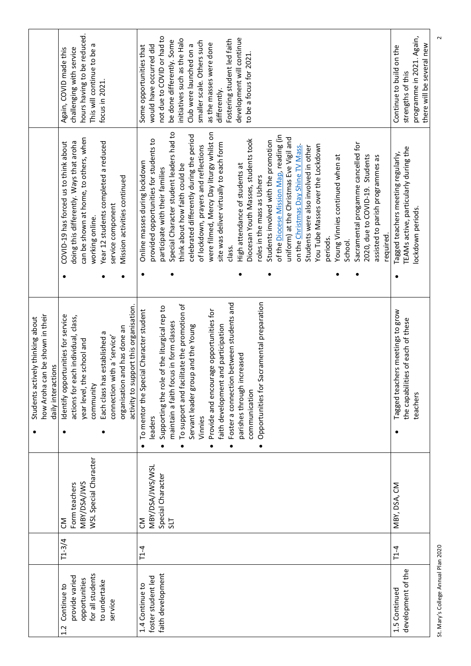|                                                                                           | hours having to be reduced.<br>This will continue to be a<br>challenging with service<br>Again, COVID made this<br>focus in 2021.                                                                                                                                       | not due to COVID or had to<br>development will continue<br>initiatives such as the Halo<br>Fostering student led faith<br>be done differently. Some<br>smaller scale. Others such<br>as the masses were done<br>Club were launched on a<br>would have occurred did<br>Some opportunities that<br>to be a focus for 2021<br>differently.                                                                                                                                                                                                                                                                                                                                                                                                                                                                                                                                                                                     | programme in 2021. Again,<br>there will be several new<br>Continue to build on the<br>strengths of this |
|-------------------------------------------------------------------------------------------|-------------------------------------------------------------------------------------------------------------------------------------------------------------------------------------------------------------------------------------------------------------------------|-----------------------------------------------------------------------------------------------------------------------------------------------------------------------------------------------------------------------------------------------------------------------------------------------------------------------------------------------------------------------------------------------------------------------------------------------------------------------------------------------------------------------------------------------------------------------------------------------------------------------------------------------------------------------------------------------------------------------------------------------------------------------------------------------------------------------------------------------------------------------------------------------------------------------------|---------------------------------------------------------------------------------------------------------|
|                                                                                           | can be shown at home, to others, when<br>Year 12 students completed a reduced<br>doing this differently. Ways that aroha<br>COVID-19 has forced us to think about<br>Mission activities continued<br>service component<br>working online.                               | Special Character student leaders had to<br>were filmed, Mercy Day liturgy whilst on<br>of the Diocese Mission Map, reading (in<br>celebrated differently during the period<br>uniform) at the Christmas Eve Vigil and<br>Diocesan Youth Masses, students took<br>provided opportunities for students to<br>Students involved with the promotion<br>Sacramental progamme cancelled for<br>site was deliver virtually to each form<br>You Tube Masses over the Lockdown<br>of lockdown, prayers and reflections<br>on the Christmas Day Shine TV Mass<br>Students were also involved in other<br>2020, due to COVID-19. Students<br>assisted to parish programmes as<br>Young Vinnies continued when at<br>Online masses during lockdown<br>High attendance of students at<br>think about how faith could be<br>participate with their families<br>roles in the mass as Ushers<br>required.<br>periods.<br>School.<br>class. | TEAMs active, particularly during the<br>Tagged teachers meeting regularly,<br>lockdown periods.        |
|                                                                                           | $\bullet$                                                                                                                                                                                                                                                               |                                                                                                                                                                                                                                                                                                                                                                                                                                                                                                                                                                                                                                                                                                                                                                                                                                                                                                                             |                                                                                                         |
| how Aroha can be shown in their<br>Students actively thinking about<br>daily interactions | activity to support this organisation<br>Identify opportunities for service<br>each individual, class,<br>organisation and has done an<br>Each class has established a<br>connection with a 'service'<br>the school and<br>community<br>actions for<br>year level,<br>٠ | Opportunities for Sacramental preparation<br>Foster a connection between students and<br>To support and facilitate the promotion of<br>Supporting the role of the liturgical rep to<br>To mentor the Special Character student<br>Provide and encourage opportunities for<br>focus in form classes<br>faith development and participation<br>Servant leader group and the Young<br>parishes through increased<br>communication<br>maintain a faith<br>Vinnies<br>leaders<br>$\bullet$                                                                                                                                                                                                                                                                                                                                                                                                                                       | Tagged teachers meetings to grow<br>the capabilities of each of these<br>teachers                       |
|                                                                                           | WSL Special Character<br>MBY/DSA/JWS<br>Form teachers<br>ξ                                                                                                                                                                                                              | MBY/DSA/JWS/WSL<br>Special Character<br><b>TIS</b><br>m                                                                                                                                                                                                                                                                                                                                                                                                                                                                                                                                                                                                                                                                                                                                                                                                                                                                     | MBY, DSA, CM                                                                                            |
|                                                                                           | $T1 - 3/4$                                                                                                                                                                                                                                                              | $T1-4$                                                                                                                                                                                                                                                                                                                                                                                                                                                                                                                                                                                                                                                                                                                                                                                                                                                                                                                      | $T1-4$                                                                                                  |
|                                                                                           | for all students<br>provide varied<br>opportunities<br>to undertake<br>Continue to<br>service<br>1.2                                                                                                                                                                    | faith development<br>foster student led<br>1.4 Continue to                                                                                                                                                                                                                                                                                                                                                                                                                                                                                                                                                                                                                                                                                                                                                                                                                                                                  | development of the<br>1.5 Continued                                                                     |

St. Mary's College Annual Plan 2020 2 St. Mary's College Annual Plan 2020

 $\sim$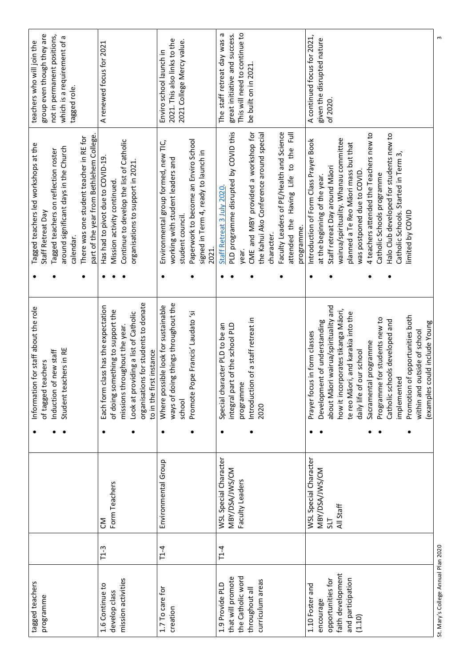| S                             |                                                                              |           |                                                              |   |                              |        | st. Mary's College Annual Plan 2020 |
|-------------------------------|------------------------------------------------------------------------------|-----------|--------------------------------------------------------------|---|------------------------------|--------|-------------------------------------|
|                               |                                                                              |           | examples could include Young<br>within and outside of school |   |                              |        |                                     |
|                               | limited by COVID                                                             |           | Promotion of opportunities both                              |   |                              |        |                                     |
|                               | Catholic Schools. Started in Term 3,                                         |           | implemented                                                  |   |                              |        |                                     |
|                               | Halo Club developed for students new to                                      |           | Catholic schools developed and                               |   |                              |        |                                     |
|                               | Catholic Schools programme                                                   |           | Programme for students new to                                |   |                              |        |                                     |
|                               | 4 teachers attended the Teachers new to                                      |           | Sacramental programme                                        |   |                              |        |                                     |
|                               | was postponed due to COVID.                                                  |           | daily life of our school                                     |   |                              |        | (1.10)                              |
|                               | planned a Te Reo Māori mass but that                                         |           | te reo Māori, and karakia into the                           |   |                              |        | and participation                   |
|                               | wairua/spirituality. Whanau committee                                        |           | how it incorporates tikanga Māori,                           |   | All Staff                    |        | faith development                   |
| of 2020                       | Staff retreat Day around Māori                                               |           | about Māori wairua/spirituality and                          |   | 5L                           |        | opportunities for                   |
| given the disrupted nature    | at the beginning of the year.                                                |           | Development of understanding                                 |   | MBY/DSA/JWS/CM               |        | encourage                           |
| A continued focus for 2021,   | Introduction of Form Class Prayer Book                                       |           | Prayer focus in form classes                                 |   | <b>WSL Special Character</b> |        | 1.10 Foster and                     |
|                               | programme.                                                                   |           |                                                              |   |                              |        |                                     |
|                               | $\bar{E}$<br>attended the Having Life to the                                 |           |                                                              |   |                              |        |                                     |
|                               | Faculty Leaders of PE/Health and Science                                     |           |                                                              |   |                              |        |                                     |
|                               | character.                                                                   |           |                                                              |   |                              |        |                                     |
|                               | the Kahui Ako Conference around special                                      |           | 2020                                                         |   |                              |        | curriculum areas                    |
| be built on in 2021           | CME and MBY provided a workshop for                                          |           | Introduction of a staff retreat in                           |   |                              |        | throughout all                      |
| This will need to continue to | year.                                                                        |           | programme                                                    |   | Faculty Leaders              |        | the Catholic word                   |
| great initiative and success. | PLD programme disrupted by COVID this                                        |           | integral part of the school PLD                              |   | MBY/DSA/JWS/CM               |        | that will promote                   |
| The staff retreat day was a   | Staff Retreat 3 July 2020                                                    |           | Special character PLD to be an                               | ٠ | <b>WSL Special Character</b> | $T1-4$ | 1.9 Provide PLD                     |
|                               | 2021.                                                                        |           |                                                              |   |                              |        |                                     |
|                               | Paperwork to become an Enviro School<br>signed in Term 4, ready to launch in |           | Promote Pope Francis' Laudato 'si                            |   |                              |        |                                     |
| 2021 College Mercy value.     | student council.                                                             |           | school                                                       |   |                              |        |                                     |
| 2021. This also links to the  | working with student leaders and                                             |           | ig things throughout the<br>ways of doir                     |   |                              |        | creation                            |
| Enviro school launch in       | Environmental group formed, new TIC,                                         | $\bullet$ | Where possible look for sustainable                          | ٠ | Environmental Group          | $T1-4$ | 1.7 To care for                     |
|                               |                                                                              |           | to in the first instance                                     |   |                              |        |                                     |
|                               |                                                                              |           | organisations for students to donate                         |   |                              |        |                                     |
|                               | organisations to support in 2021                                             |           | Look at providing a list of Catholic                         |   |                              |        |                                     |
|                               | Continue to develop the list of Catholic                                     |           | missions throughout the year.                                |   |                              |        | mission activities                  |
|                               | Mission activity continued.                                                  |           | of doing something to support the                            |   | Form Teachers                |        | develop class                       |
| A renewed focus for 2021      | Has had to pivot due to COVID-19                                             |           | Each form class has the expectation                          |   | SΘ                           | $T1-3$ | 1.6 Continue to                     |
|                               | part of the year from Bethlehem College.                                     |           |                                                              |   |                              |        |                                     |
|                               | There was one student teacher in RE for                                      |           |                                                              |   |                              |        |                                     |
| tagged role.                  | calendar.                                                                    |           |                                                              |   |                              |        |                                     |
| which is a requirement of a   | around significant days in the Church                                        |           | Student teachers in RE                                       |   |                              |        |                                     |
| not in permanent positions,   | Tagged teachers on reflection roster                                         |           | Induction of new staff                                       |   |                              |        |                                     |
| group even though they are    | Staff Retreat Day                                                            |           | of tagged teachers                                           |   |                              |        | programme                           |
| teachers who will join the    | Tagged teachers led workshops at the                                         |           | Information for staff about the role                         |   |                              |        | tagged teachers                     |

St. Mary's College Annual Plan 2020 3 St. Mary's College Annual Plan 2020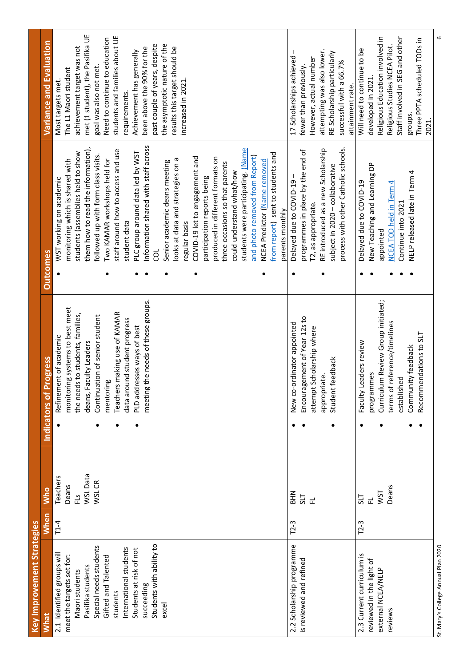| <b>Key Improvement Strategies</b>                                                                                                                                                                                                                                   |        |                                                |                                                                                                                                                                                                                                                                                                            |                                                                                                                                                                                                                                                                                                                                                                                                                                                                                                                                                                                                                                                                                                                                                                                     |                                                                                                                                                                                                                                                                                                                                                                                                             |
|---------------------------------------------------------------------------------------------------------------------------------------------------------------------------------------------------------------------------------------------------------------------|--------|------------------------------------------------|------------------------------------------------------------------------------------------------------------------------------------------------------------------------------------------------------------------------------------------------------------------------------------------------------------|-------------------------------------------------------------------------------------------------------------------------------------------------------------------------------------------------------------------------------------------------------------------------------------------------------------------------------------------------------------------------------------------------------------------------------------------------------------------------------------------------------------------------------------------------------------------------------------------------------------------------------------------------------------------------------------------------------------------------------------------------------------------------------------|-------------------------------------------------------------------------------------------------------------------------------------------------------------------------------------------------------------------------------------------------------------------------------------------------------------------------------------------------------------------------------------------------------------|
| <b>What</b>                                                                                                                                                                                                                                                         | When   | <b>Who</b>                                     | ogress<br>Indicators of P                                                                                                                                                                                                                                                                                  | <b>Outcomes</b>                                                                                                                                                                                                                                                                                                                                                                                                                                                                                                                                                                                                                                                                                                                                                                     | Variance and Evaluation                                                                                                                                                                                                                                                                                                                                                                                     |
| Students with ability to<br>Special needs students<br>International students<br>Students at risk of not<br>2.1 Identified groups will<br>meet the targets set for:<br>Gifted and Talented<br>Pasifika students<br>Maori students<br>succeeding<br>students<br>excel | $T1-4$ | WSL Data<br>Teachers<br>WSL CR<br>Deans<br>FLS | meeting the needs of these groups.<br>monitoring systems to best meet<br>Teachers making use of KAMAR<br>the needs to students, families,<br>Continuation of senior student<br>data around student progress<br>PLD addresses ways of best<br>Refinement of academic<br>deans, Faculty Leaders<br>mentoring | Information shared with staff across<br>them how to read the information),<br>students were participating. Mame<br>staff around how to access and use<br>PLC group around data led by WST<br>students (assemblies held to show<br>from report) sent to students and<br>followed up with form class visits.<br>and photo removed from Report)<br>COVID-19 let to engagement and<br>produced in different formats on<br>Two KAMAR workshops held for<br>looks at data and strategies on a<br>monitoring which is shared with<br>NCEA Predictor (Name removed<br>Senior academic deans meeting<br>three occasions so that parents<br>could understand what/how<br>participation reports being<br>WST working on academic<br>parents monthly<br>student data<br>regular basis<br>d<br>٠ | met (1 student), the Pasifika UE<br>students and families about UE<br>Need to continue to education<br>the asymptotic nature of the<br>past couple of years, despite<br>achievement target was not<br>results this target should be<br>been above the 90% for the<br>Achievement has generally<br>goal was also not met.<br>The L1 Maori student<br>increased in 2021.<br>Most targets met.<br>requirements |
| 2.2 Scholarship programme<br>is reviewed and refined                                                                                                                                                                                                                | $T2-3$ | <b>NHR</b><br>교 리                              | Encouragement of Year 12s to<br>New co-ordinator appointed<br>attempt Scholarship where<br>Student feedback<br>appropriate.<br>٠                                                                                                                                                                           | process with other Catholic schools.<br>RE introduced as a new Scholarship<br>programmes in place by the end of<br>subject in 2020 - collaborative<br>Delayed due to COVID-19-<br><sup>12</sup> , as appropriate.<br>$\bullet$                                                                                                                                                                                                                                                                                                                                                                                                                                                                                                                                                      | attempting was also lower.<br>$\mathbf{I}$<br>RE Scholarship particularly<br>17 Scholarships achieved<br>However, actual number<br>successful with a 66.7%<br>fewer than previously.<br>attainment rate.                                                                                                                                                                                                    |
| 2.3 Current curriculum is<br>reviewed in the light of<br>external NCEA/NELP<br>reviews                                                                                                                                                                              | $T2-3$ | Deans<br><b>ISM</b><br>715<br>군                | Curriculum Review Group initiated;<br>terms of reference/timelines<br>Recommendations to SLT<br>Faculty Leaders review<br>Community feedback<br>programmes<br>established                                                                                                                                  | New Teaching and Learning DP<br>NELP released late in Term 4<br>4<br>Delayed due to COVID-19<br><b>NCEA TOD held in Term</b><br>Continue into 2021<br>appointed                                                                                                                                                                                                                                                                                                                                                                                                                                                                                                                                                                                                                     | Religious Education involved in<br>Staff involved in SEG and other<br>Three PPTA scheduled TODs in<br>Religious Studies NCEA Pilot.<br>Will need to continue to be<br>developed in 2021.<br>groups.<br>2021.                                                                                                                                                                                                |
| St. Mary's College Annual Plan 2020                                                                                                                                                                                                                                 |        |                                                |                                                                                                                                                                                                                                                                                                            |                                                                                                                                                                                                                                                                                                                                                                                                                                                                                                                                                                                                                                                                                                                                                                                     | 6                                                                                                                                                                                                                                                                                                                                                                                                           |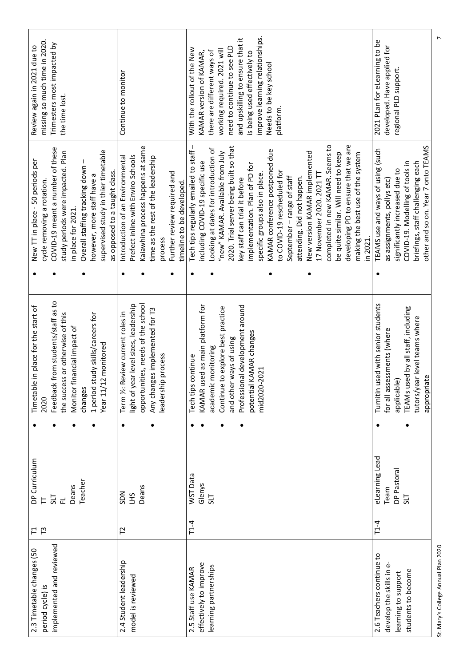| missing so much time in 2020.<br>Review again in 2021 due to  | Trimesters most impacted by<br>the time lost.                                                         |                                |                                                                   |                              | Continue to monitor                                                                      |                                    |                                                           |                                                          | With the rollout of the New                          | KAMAR version of KAMAR,         | there are different ways of          | working required. 2021 will       | need to continue to see PLD            | and upskilling to ensure that it<br>is being used effectively to | improve learning relationships. | Needs to be key school                                           | platform.                   |                          |                            |                               |                           |                                  |                                     |                                     |                                   |          | 2021 Plan for elearning to be                  | developed. Have applied for | regional PLD support.          |                                    |                                                                         |
|---------------------------------------------------------------|-------------------------------------------------------------------------------------------------------|--------------------------------|-------------------------------------------------------------------|------------------------------|------------------------------------------------------------------------------------------|------------------------------------|-----------------------------------------------------------|----------------------------------------------------------|------------------------------------------------------|---------------------------------|--------------------------------------|-----------------------------------|----------------------------------------|------------------------------------------------------------------|---------------------------------|------------------------------------------------------------------|-----------------------------|--------------------------|----------------------------|-------------------------------|---------------------------|----------------------------------|-------------------------------------|-------------------------------------|-----------------------------------|----------|------------------------------------------------|-----------------------------|--------------------------------|------------------------------------|-------------------------------------------------------------------------|
| New TT in place - 50 periods per<br>cycle removing a rotation | COVID-19 meant a number of these<br>study periods were impacted. Plan<br>in place for 2021.           | Overall staffing tracking down | supervised study in thier timetable<br>however, more staff have a | as opposed to a taught class | Introduction of an Environmental<br>Prefect inline with Enviro Schools                   | Kaiawhina process happens at same  | time as the rest of the leadership<br>process             | Further review required and<br>timeline to be developed. | $\mathbf{I}$<br>Tech tips regularly emailed to staff | including COVID-19 specific use | Looking at dates for introduction of | "new" KAMAR. Available from July  | 2020. Trial server being built so that | key staff can trial it before                                    | implementation. Plan of PD for  | KAMAR conference postponed due<br>specific groups also in place. | to COVID-19 rescheduled for | September-range of staff | attending. Did not happen. | New version KAMAR implemented | 17 November 2020. 2021 TT | completed in new KAMAR. Seems to | be quite similar. Will need to keep | developing PD to ensure that we are | making the best use of the system | in 2021. | TEAMS use and ways of using (such<br>$\bullet$ | as assignments, pollys etc) | significantly increased due to | COVID-19. Modelling of tools in    | other and so on. Year 7 onto TEAMS<br>briefings, staff challenging each |
|                                                               |                                                                                                       |                                |                                                                   |                              |                                                                                          |                                    |                                                           |                                                          |                                                      |                                 |                                      |                                   |                                        |                                                                  |                                 |                                                                  |                             |                          |                            |                               |                           |                                  |                                     |                                     |                                   |          |                                                |                             |                                |                                    |                                                                         |
| Timetable in place for the start of<br>2020                   | Feedback from students/staff as to<br>the success or otherwise of this<br>Monitor financial impact of | changes                        | study skills/careers for<br>Year 11/12 monitored<br>1 period      |                              | light of year level sizes, leadership<br>Review current roles in<br>Term ½:<br>$\bullet$ | opportunities, needs of the school | Any changes implemented for T3<br>ip process<br>leadershi |                                                          | continue<br>Tech tips                                | KAMAR used as main platform for | academic monitoring                  | Continue to explore best practice | and other ways of using                | Professional development around                                  | KAMAR changes<br>potential      | mid2020-2021                                                     |                             |                          |                            |                               |                           |                                  |                                     |                                     |                                   |          | Turnitin used with senior students             | for all assessments (where  | applicable)                    | TEAMs used by all staff, including | tutors/year level teams where<br>appropriate                            |
|                                                               |                                                                                                       |                                |                                                                   |                              |                                                                                          |                                    |                                                           |                                                          |                                                      |                                 |                                      |                                   |                                        |                                                                  |                                 |                                                                  |                             |                          |                            |                               |                           |                                  |                                     |                                     |                                   |          |                                                |                             |                                |                                    |                                                                         |
| DP Curriculum                                                 | Deans<br>51<br>군                                                                                      | Teacher                        |                                                                   |                              | <b>NGS</b><br>ŠН                                                                         | Deans                              |                                                           |                                                          | WST Data                                             | Glenys                          | 55                                   |                                   |                                        |                                                                  |                                 |                                                                  |                             |                          |                            |                               |                           |                                  |                                     |                                     |                                   |          | eLearning Lead                                 | Team                        | DP Pastoral                    | 51                                 |                                                                         |
| $\overline{\Gamma}$<br>H                                      |                                                                                                       |                                |                                                                   |                              | $\Gamma$                                                                                 |                                    |                                                           |                                                          | $T1-4$                                               |                                 |                                      |                                   |                                        |                                                                  |                                 |                                                                  |                             |                          |                            |                               |                           |                                  |                                     |                                     |                                   |          | $T1-4$                                         |                             |                                |                                    |                                                                         |
| 2.3 Timetable changes (50<br>period cycle) is                 | implemented and reviewed                                                                              |                                |                                                                   |                              | 2.4 Student leadership<br>model is reviewed                                              |                                    |                                                           |                                                          | 2.5 Staff use KAMAR                                  | effectively to improve          | learning partnerships                |                                   |                                        |                                                                  |                                 |                                                                  |                             |                          |                            |                               |                           |                                  |                                     |                                     |                                   |          | 2.6 Teachers continue to                       | develop the skills in       | learning to support            | students to become                 |                                                                         |

St. Mary's College Annual Plan 2020 7 St. Mary's College Annual Plan 2020

 $\overline{a}$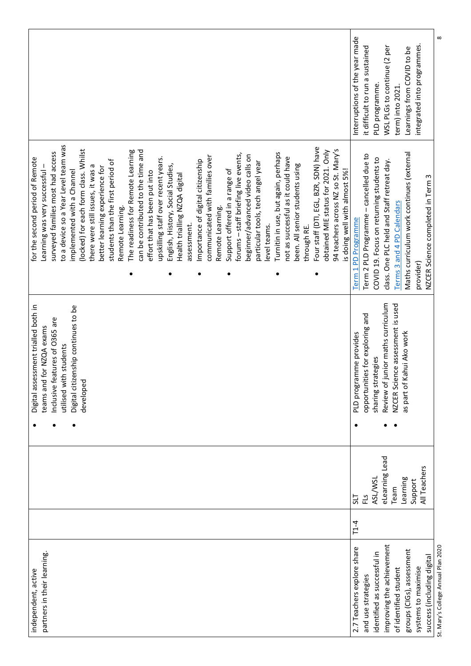|                                                                                                                                                                                                                                                                                                                                                                                                                                                                                                                                                                                                                                                                                                                                                                                                                                                                                                                                                                                                                                                                                                                                               | $\infty$<br>Interruptions of the year made<br>integrated into programmes.<br>it difficult to run a sustained<br>WSL PLGs to continue (2 per<br>Learnings from COVID to be<br>PLD programme.<br>term) into 2021                                                                        |
|-----------------------------------------------------------------------------------------------------------------------------------------------------------------------------------------------------------------------------------------------------------------------------------------------------------------------------------------------------------------------------------------------------------------------------------------------------------------------------------------------------------------------------------------------------------------------------------------------------------------------------------------------------------------------------------------------------------------------------------------------------------------------------------------------------------------------------------------------------------------------------------------------------------------------------------------------------------------------------------------------------------------------------------------------------------------------------------------------------------------------------------------------|---------------------------------------------------------------------------------------------------------------------------------------------------------------------------------------------------------------------------------------------------------------------------------------|
| to a device so a Year Level team was<br>Four staff (DTI, EGL, BZR, SDN) have<br>94 teachers across NZ so St. Mary's<br>(locked) for each form class. Whilst<br>The readiness for Remote Learning<br>can be contributed to the time and<br>obtained MIE status for 2021. Only<br>surveyed families most had access<br>Turnitin in use, but again, perhaps<br>forums - staff briefing live events,<br>beginner/advanced video calls on<br>communicated with families over<br>not as successful as it could have<br>upskilling staff over recent years.<br>for the second period of Remote<br>Importance of digital citizenship<br>students than the first period of<br>particular tools, tech angel year<br>been. All senior students using<br>English, History, Social Studies,<br>there were still issues, it was a<br>better learning experience for<br>is doing well with almost 5%!<br>Support offered in a range of<br>implemented with a Channel<br>Learning was very successful<br>effort that has been put into<br>Health trialling NZQA digital<br>Remote Learning.<br>Remote Learning.<br>assessment.<br>level teams.<br>through RE. | Maths curriculum work continues (external<br>Term 2 PLD Programme - cancelled due to<br>COVID 19. Focus on returning students to<br>class. One PLC held and Staff retreat day.<br>NZCER Science completed in Term 3<br>Terms 3 and 4 PD Calendars<br>Term 1 PD Programme<br>provider) |
| Digital citizenship continues to be<br>Digital assessment trialled both in<br>Inclusive features of O365 are<br>teams and for NZQA exams<br>utilised with students<br>developed                                                                                                                                                                                                                                                                                                                                                                                                                                                                                                                                                                                                                                                                                                                                                                                                                                                                                                                                                               | junior maths curriculum<br>NZCER Science assessment is used<br>opportunities for exploring and<br>Kahui Ako work<br>PLD programme provides<br>sharing strategies<br>Review of<br>as part of                                                                                           |
|                                                                                                                                                                                                                                                                                                                                                                                                                                                                                                                                                                                                                                                                                                                                                                                                                                                                                                                                                                                                                                                                                                                                               | eLearning Lead<br>All Teachers<br>ASL/WSL<br>Learning<br>Support<br>Team<br>ΕĽ<br>715                                                                                                                                                                                                 |
| partners in their learning<br>independent, active                                                                                                                                                                                                                                                                                                                                                                                                                                                                                                                                                                                                                                                                                                                                                                                                                                                                                                                                                                                                                                                                                             | $T1-4$<br>improving the achievement<br>St. Mary's College Annual Plan 2020<br>2.7 Teachers explore share<br>groups (CIGs), assessment<br>identified as successful in<br>success (including digital<br>systems to maximise<br>of identified student<br>and use strategies              |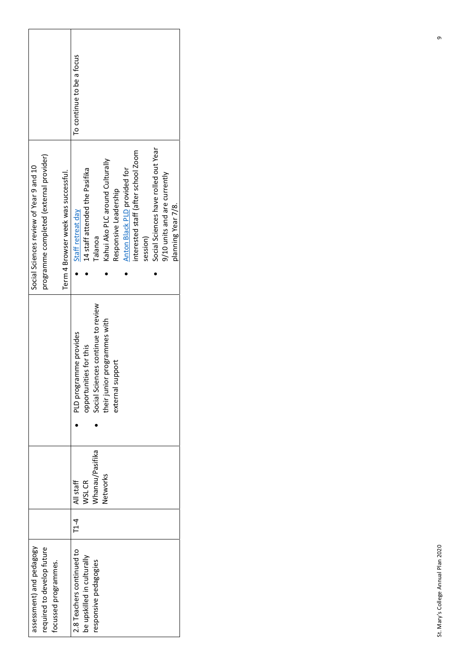|                                         |                                         |                      |                                     | To continue to be a focus |                                |                                    |                                 |                       |                              |                                     |          |                                      |                              |                    |
|-----------------------------------------|-----------------------------------------|----------------------|-------------------------------------|---------------------------|--------------------------------|------------------------------------|---------------------------------|-----------------------|------------------------------|-------------------------------------|----------|--------------------------------------|------------------------------|--------------------|
| Social Sciences review of Year 9 and 10 | programme completed (external provider) |                      | Term 4 Browser week was successful. | Staff retreat day         | 14 staff attended the Pasifika | Falanoa                            | Kahui Ako PLC around Culturally | Responsive Leadership | Anton Black PLD provided for | interested staff (after school Zoom | session) | Social Sciences have rolled out Year | 9/10 units and are currently | planning Year 7/8. |
|                                         |                                         |                      |                                     | PLD programme provides    | opportunities for this         | Social Sciences continue to review | their junior programmes with    | support<br>external   |                              |                                     |          |                                      |                              |                    |
|                                         |                                         |                      |                                     | All staff                 | <b>NSL CR</b>                  | Whanau/Pasifika                    | Networks                        |                       |                              |                                     |          |                                      |                              |                    |
|                                         |                                         |                      |                                     | $\overline{1}$ -4         |                                |                                    |                                 |                       |                              |                                     |          |                                      |                              |                    |
| assessment) and pedagogy                | required to develop future              | focussed programmes. |                                     | 2.8 Teachers continued to | be upskilled in culturally     | responsive pedagogies              |                                 |                       |                              |                                     |          |                                      |                              |                    |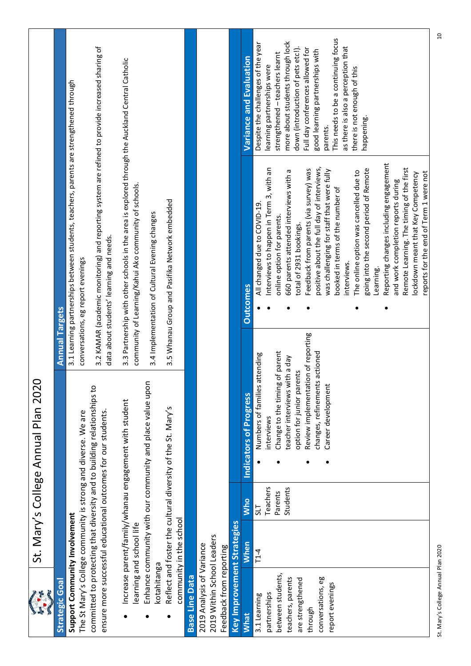| $\frac{1}{2}$                                                                                                                                 |                          |                                               | St. Mary's College Annual Plan 2020                                                                                                                                                                                           |                       |                                                                                                                                                                                                                                                                                                                                                                                                                                                                                                                                                                                                                                                                                              |                                                                                                                                                                                                                                                                                                                                                                                         |
|-----------------------------------------------------------------------------------------------------------------------------------------------|--------------------------|-----------------------------------------------|-------------------------------------------------------------------------------------------------------------------------------------------------------------------------------------------------------------------------------|-----------------------|----------------------------------------------------------------------------------------------------------------------------------------------------------------------------------------------------------------------------------------------------------------------------------------------------------------------------------------------------------------------------------------------------------------------------------------------------------------------------------------------------------------------------------------------------------------------------------------------------------------------------------------------------------------------------------------------|-----------------------------------------------------------------------------------------------------------------------------------------------------------------------------------------------------------------------------------------------------------------------------------------------------------------------------------------------------------------------------------------|
| <b>Strategic Goal</b>                                                                                                                         |                          |                                               |                                                                                                                                                                                                                               | <b>Annual Targets</b> |                                                                                                                                                                                                                                                                                                                                                                                                                                                                                                                                                                                                                                                                                              |                                                                                                                                                                                                                                                                                                                                                                                         |
| Support Community Involvement                                                                                                                 |                          |                                               | The St Mary's College community is strong and diverse. We are                                                                                                                                                                 |                       | 3.1 Learning partnerships between students, teachers, parents are strengthened through<br>conversations, eg report evenings                                                                                                                                                                                                                                                                                                                                                                                                                                                                                                                                                                  |                                                                                                                                                                                                                                                                                                                                                                                         |
|                                                                                                                                               |                          |                                               | committed to protecting that diversity and to building relationships to<br>ensure more successful educational outcomes for our students                                                                                       |                       | 3.2 KAMAR (academic monitoring) and reporting system are refined to provide increased sharing of<br>data about students' learning and needs.                                                                                                                                                                                                                                                                                                                                                                                                                                                                                                                                                 |                                                                                                                                                                                                                                                                                                                                                                                         |
|                                                                                                                                               | learning and school life |                                               | Increase parent/family/whanau engagement with student                                                                                                                                                                         |                       | 3.3 Partnership with other schools in the area is explored through the Auckland Central Catholic<br>community of Learning/Kahui Ako community of schools.                                                                                                                                                                                                                                                                                                                                                                                                                                                                                                                                    |                                                                                                                                                                                                                                                                                                                                                                                         |
| kotahitanga                                                                                                                                   |                          |                                               | Enhance community with our community and place value upon                                                                                                                                                                     |                       | 3.4 Implementation of Cultural Evening changes                                                                                                                                                                                                                                                                                                                                                                                                                                                                                                                                                                                                                                               |                                                                                                                                                                                                                                                                                                                                                                                         |
|                                                                                                                                               | community in the school  |                                               | Reflect and foster the cultural diversity of the St. Mary's                                                                                                                                                                   |                       | 3.5 Whanau Group and Pasifika Network embedded                                                                                                                                                                                                                                                                                                                                                                                                                                                                                                                                                                                                                                               |                                                                                                                                                                                                                                                                                                                                                                                         |
| <b>Base Line Data</b>                                                                                                                         |                          |                                               |                                                                                                                                                                                                                               |                       |                                                                                                                                                                                                                                                                                                                                                                                                                                                                                                                                                                                                                                                                                              |                                                                                                                                                                                                                                                                                                                                                                                         |
| 2019 Within School Leaders<br>2019 Analysis of Variance                                                                                       |                          |                                               |                                                                                                                                                                                                                               |                       |                                                                                                                                                                                                                                                                                                                                                                                                                                                                                                                                                                                                                                                                                              |                                                                                                                                                                                                                                                                                                                                                                                         |
| Feedback from reporting                                                                                                                       |                          |                                               |                                                                                                                                                                                                                               |                       |                                                                                                                                                                                                                                                                                                                                                                                                                                                                                                                                                                                                                                                                                              |                                                                                                                                                                                                                                                                                                                                                                                         |
| Key Improvement Strategies                                                                                                                    |                          |                                               |                                                                                                                                                                                                                               |                       |                                                                                                                                                                                                                                                                                                                                                                                                                                                                                                                                                                                                                                                                                              |                                                                                                                                                                                                                                                                                                                                                                                         |
| <b>What</b>                                                                                                                                   | When                     | <b>Who</b>                                    | Indicators of Progress                                                                                                                                                                                                        |                       | <b>Outcomes</b>                                                                                                                                                                                                                                                                                                                                                                                                                                                                                                                                                                                                                                                                              | Variance and Evaluation                                                                                                                                                                                                                                                                                                                                                                 |
| between students,<br>conversations, eg<br>teachers, parents<br>are strengthened<br>report evenings<br>partnerships<br>3.1 Learning<br>through | $T1-4$                   | Teachers<br>Students<br>Parents<br><b>TIS</b> | Review implementation of reporting<br>changes, refinements actioned<br>Numbers of families attending<br>teacher interviews with a day<br>option for junior parents<br>Change to the timing<br>Career development<br>nterviews | of parent             | Reporting changes including engagement<br>positive about the full day of interviews,<br>Remote Learning. The timing of the first<br>Interviews to happen in Term 3, with an<br>Feedback from parents (via survey) was<br>going into the second period of Remote<br>660 parents attended interviews with a<br>was challenging for staff that were fully<br>The online option was cancelled due to<br>reports for the end of Term 1 were not<br>lockdown meant that Key Competency<br>and work completion reports during<br>booked in terms of the number of<br>All changed due to COVID-19.<br>online option for parents.<br>total of 2931 bookings.<br>interviews.<br>Learning.<br>$\bullet$ | This needs to be a continuing focus<br>more about students through lock<br>Despite the challenges of the year<br>as there is also a perception that<br>down (introduction of pets etc!).<br>Full day conferences allowed for<br>good learning partnerships with<br>strengthened - teachers learnt<br>learning partnerships were<br>there is not enough of this<br>happening<br>parents. |
|                                                                                                                                               |                          |                                               |                                                                                                                                                                                                                               |                       |                                                                                                                                                                                                                                                                                                                                                                                                                                                                                                                                                                                                                                                                                              |                                                                                                                                                                                                                                                                                                                                                                                         |

St. Mary's College Annual Plan 2020 10 St. Mary's College Annual Plan 2020

 $\Xi$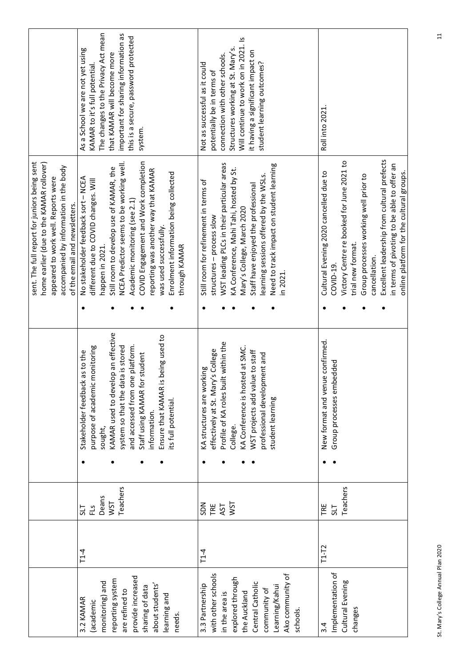|                                                                                                                                                                                                            | The changes to the Privacy Act mean<br>important for sharing information as<br>this is a secure, password protected<br>As a School we are not yet using<br>that KAMAR will become more<br>KAMAR to it's full potential<br>system.                                                                                                                                                          | Will continue to work on in 2021. Is<br>Structures working at St. Mary's.<br>it having a significant impact on<br>connection with other schools.<br>student learning outcomes?<br>Not as successful as it could<br>potentially be in terms of                                                                                     | Roll into 2021                                                                                                                                                                                                                                                                                                            |
|------------------------------------------------------------------------------------------------------------------------------------------------------------------------------------------------------------|--------------------------------------------------------------------------------------------------------------------------------------------------------------------------------------------------------------------------------------------------------------------------------------------------------------------------------------------------------------------------------------------|-----------------------------------------------------------------------------------------------------------------------------------------------------------------------------------------------------------------------------------------------------------------------------------------------------------------------------------|---------------------------------------------------------------------------------------------------------------------------------------------------------------------------------------------------------------------------------------------------------------------------------------------------------------------------|
| sent. The full report for juniors being sent<br>home earlier (due to the KAMAR rollover)<br>accompanied by information in the body<br>appeared to work well. Reports were<br>of the email and newsletters. | COVID Engagement and Work completion<br>NCEA Predictor seems to be working well.<br>Still room to develop use of KAMAR, the<br>reporting was another way that KAMAR<br>Enrolment information being collected<br>No stakeholder feedback sort - NCEA<br>different due to COVID changes. Will<br>Academic monitoring (see 2.1)<br>was used successfully.<br>through KAMAR<br>happen in 2021. | WST leading PLCs in their particular areas<br>Need to track impact on student learning<br>KA Conference, Mahi Tahi, hosted by St.<br>learning sessions offered by the WSLs.<br>Still room for refinement in terms of<br>Staff have enjoyed the professional<br>Mary's College, March 2020<br>structures - process slow<br>in 2021 | Excellent leadership from cultural prefects<br>Victory Centre re booked for June 2021 to<br>in terms of pivoting to be able to offer an<br>Cultural Evening 2020 cancelled due to<br>online platform for the cultural groups.<br>Group processes working well prior to<br>trial new format.<br>cancellation.<br>COVID-19. |
|                                                                                                                                                                                                            |                                                                                                                                                                                                                                                                                                                                                                                            |                                                                                                                                                                                                                                                                                                                                   |                                                                                                                                                                                                                                                                                                                           |
|                                                                                                                                                                                                            | KAMAR used to develop an effective<br>is being used to<br>and accessed from one platform.<br>purpose of academic monitoring<br>system so that the data is stored<br>Stakeholder feedback as to the<br>Staff using KAMAR for student<br>Ensure that KAMAR<br>its full potential<br>information.<br>sought,                                                                                  | Profile of KA roles built within the<br>KA Conference is hosted at SMC.<br>effectively at St. Mary's College<br>WST projects add value to staff<br>professional development and<br>KA structures are working<br>student learning<br>College.                                                                                      | New format and venue confirmed.<br>Group processes embedded                                                                                                                                                                                                                                                               |
|                                                                                                                                                                                                            |                                                                                                                                                                                                                                                                                                                                                                                            |                                                                                                                                                                                                                                                                                                                                   |                                                                                                                                                                                                                                                                                                                           |
|                                                                                                                                                                                                            | Teachers<br>Deans<br>WST<br><u>ي</u><br>سا<br>715                                                                                                                                                                                                                                                                                                                                          | <b>NST</b><br>NGS<br>TRE<br>AST                                                                                                                                                                                                                                                                                                   | Teachers<br>TRE<br>715                                                                                                                                                                                                                                                                                                    |
|                                                                                                                                                                                                            | $T1-4$                                                                                                                                                                                                                                                                                                                                                                                     | $T1-4$                                                                                                                                                                                                                                                                                                                            | $T1-T2$                                                                                                                                                                                                                                                                                                                   |
|                                                                                                                                                                                                            | provide increased<br>reporting system<br>monitoring) and<br>about students'<br>sharing of data<br>are refined to<br>learning and<br>3.2 KAMAR<br>(academic<br>needs.                                                                                                                                                                                                                       | with other schools<br>Ako community of<br>explored through<br>Central Catholic<br>3.3 Partnership<br>Learning/Kahui<br>community of<br>the Auckland<br>in the area is<br>schools.                                                                                                                                                 | Implementation of<br>Cultural Evening<br>changes<br>$\ddot{3}$                                                                                                                                                                                                                                                            |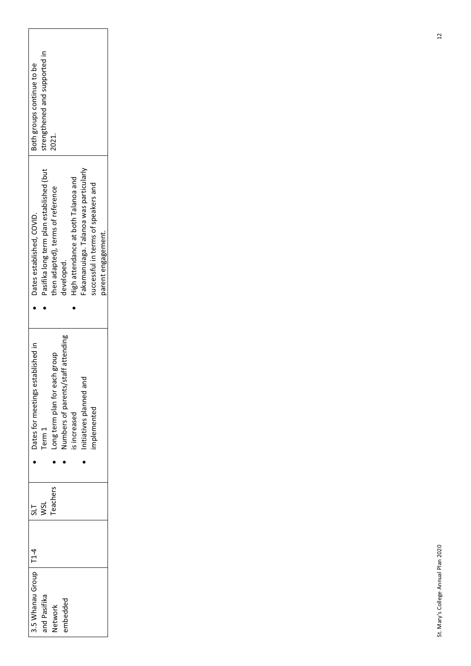| 3.5 Whanau Group   T1-4 | 51      | Dates for meetings established in      | Dates established, COVID.                | Both groups continue to be    |
|-------------------------|---------|----------------------------------------|------------------------------------------|-------------------------------|
| and Pasifika            | VSL     | erm $1$                                | Pasifika long term plan established (but | strengthened and supported in |
| <b>detwork</b>          | eachers | Long term plan for each group          | then adapted), terms of reference        | 221.                          |
| embedded                |         | staff attending<br>lumbers of parents/ | developed.                               |                               |
|                         |         | increased                              | High attendance at both Talanoa and      |                               |
|                         |         | nitiatives planned and                 | Fakamanuiaga. Talanoa was particularly   |                               |
|                         |         | implemented                            | uccessful in terms of speakers and       |                               |
|                         |         |                                        | parent engagement.                       |                               |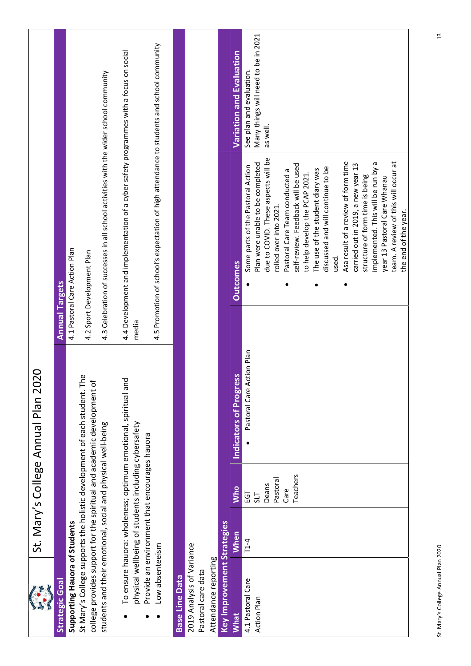|                                                              |                                                      |            | 20<br>St. Mary's College Annual Plan 20                                                                                                            |                                                                                           |                                     |
|--------------------------------------------------------------|------------------------------------------------------|------------|----------------------------------------------------------------------------------------------------------------------------------------------------|-------------------------------------------------------------------------------------------|-------------------------------------|
| <b>Strategic Goal</b>                                        |                                                      |            |                                                                                                                                                    | <b>Annual Targets</b>                                                                     |                                     |
| Supporting Hauora of Students                                |                                                      |            |                                                                                                                                                    | 4.1 Pastoral Care Action Plan                                                             |                                     |
|                                                              |                                                      |            | St Mary's College supports the holistic development of each student. The<br>college provides support for the spiritual and academic development of | 4.2 Sport Development Plan                                                                |                                     |
|                                                              |                                                      |            |                                                                                                                                                    |                                                                                           |                                     |
| students and their emotional, social and physical well-being |                                                      |            |                                                                                                                                                    | 4.3 Celebration of successes in all school activities with the wider school community     |                                     |
|                                                              |                                                      |            | To ensure hauora: wholeness; optimum emotional, spiritual and                                                                                      | 4.4 Development and implementation of a cyber safety programmes with a focus on social    |                                     |
|                                                              | physical wellbeing of students including cybersafety |            |                                                                                                                                                    | media                                                                                     |                                     |
|                                                              | Provide an environment that encourages hauora        |            |                                                                                                                                                    |                                                                                           |                                     |
| Low absenteeism                                              |                                                      |            |                                                                                                                                                    | 4.5 Promotion of school's expectation of high attendance to students and school community |                                     |
| <b>Base Line Data</b>                                        |                                                      |            |                                                                                                                                                    |                                                                                           |                                     |
| 2019 Analysis of Variance                                    |                                                      |            |                                                                                                                                                    |                                                                                           |                                     |
| Pastoral care data                                           |                                                      |            |                                                                                                                                                    |                                                                                           |                                     |
| <b>Key Improvement Strategies</b><br>Attendance reporting    |                                                      |            |                                                                                                                                                    |                                                                                           |                                     |
|                                                              |                                                      |            |                                                                                                                                                    |                                                                                           |                                     |
| <b>What</b>                                                  | <b>When</b>                                          | <b>Who</b> | Indicators of Progress                                                                                                                             | <b>Outcomes</b>                                                                           | <b>Variation and Evaluation</b>     |
| 4.1 Pastoral Care                                            | $T1-4$                                               | 193        | Pastoral Care Action Plan                                                                                                                          | Some parts of the Pastoral Action                                                         | See plan and evaluation.            |
| <b>Action Plan</b>                                           |                                                      | 517        |                                                                                                                                                    | Plan were unable to be completed                                                          | Many things will need to be in 2021 |
|                                                              |                                                      | Deans      |                                                                                                                                                    | due to COVID. These aspects will be                                                       | as well.                            |
|                                                              |                                                      | Pastoral   |                                                                                                                                                    | rolled over into 2021.                                                                    |                                     |
|                                                              |                                                      | Care       |                                                                                                                                                    | Pastoral Care Team conducted a                                                            |                                     |
|                                                              |                                                      | Teachers   |                                                                                                                                                    | self-review. Feedback will be used                                                        |                                     |
|                                                              |                                                      |            |                                                                                                                                                    | to help develop the PCAP 2021.                                                            |                                     |
|                                                              |                                                      |            |                                                                                                                                                    | The use of the student diary was                                                          |                                     |
|                                                              |                                                      |            |                                                                                                                                                    | discussed and will continue to be                                                         |                                     |
|                                                              |                                                      |            |                                                                                                                                                    | used.                                                                                     |                                     |
|                                                              |                                                      |            |                                                                                                                                                    | Asa result of a review of form time                                                       |                                     |
|                                                              |                                                      |            |                                                                                                                                                    | carried out in 2019, a new year 13                                                        |                                     |
|                                                              |                                                      |            |                                                                                                                                                    | structure of form time is being                                                           |                                     |
|                                                              |                                                      |            |                                                                                                                                                    | implemented. This will be run by a                                                        |                                     |
|                                                              |                                                      |            |                                                                                                                                                    | year 13 Pastoral Care Whanau                                                              |                                     |
|                                                              |                                                      |            |                                                                                                                                                    | team. A review of this will occur at                                                      |                                     |
|                                                              |                                                      |            |                                                                                                                                                    | the end of the year.                                                                      |                                     |

مون<br>مون

L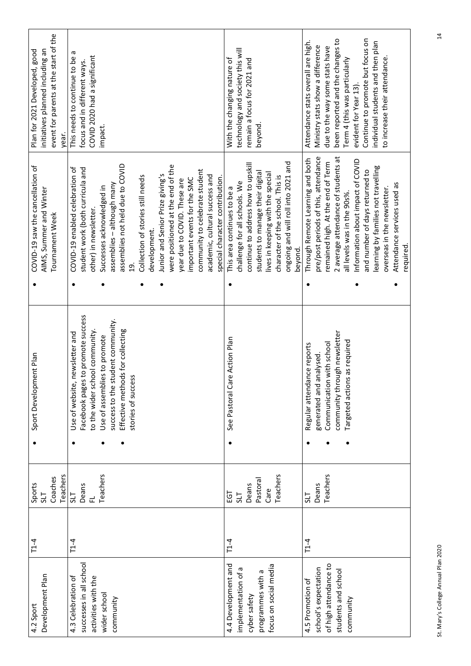| newsletter and<br>Use of website,                                                                                                                                                                 | Sport Development Plan<br>Teachers<br>Coaches<br>Sports<br><b>TIS</b><br><b>TTS</b> |
|---------------------------------------------------------------------------------------------------------------------------------------------------------------------------------------------------|-------------------------------------------------------------------------------------|
| Facebook pages to promote success<br>success to the student community.<br>Effective methods for collecting<br>to the wider school community<br>Use of assemblies to promote<br>stories of success | Teachers<br>Deans<br>군                                                              |
| See Pastoral Care Action Plan                                                                                                                                                                     | Teachers<br>Pastoral<br>Deans<br>Care<br>Ξg<br><b>TIS</b>                           |
| community through new sletter<br>Targeted actions as required<br>Communication with school<br>Regular attendance reports<br>generated and analysed.                                               | Teachers<br>Deans<br><b>TIS</b>                                                     |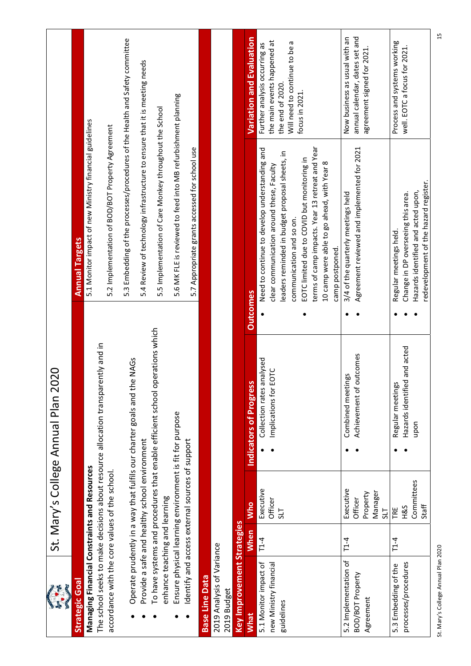| $\mathbb{G}$                                   |             |                                                         | $\overline{Q}$<br>St. Mary's College Annual Plan 20                               |                                                                                                                         |                                                                                  |
|------------------------------------------------|-------------|---------------------------------------------------------|-----------------------------------------------------------------------------------|-------------------------------------------------------------------------------------------------------------------------|----------------------------------------------------------------------------------|
| <b>Strategic Goal</b>                          |             |                                                         |                                                                                   | <b>Annual Targets</b>                                                                                                   |                                                                                  |
| Managing Financial Constraints and Resources   |             |                                                         |                                                                                   | 5.1 Monitor impact of new Ministry financial guidelines                                                                 |                                                                                  |
| accordance with the core values of the school. |             |                                                         | The school seeks to make decisions about resource allocation transparently and in | 5.2 Implementation of BOD/BOT Property Agreement                                                                        |                                                                                  |
|                                                |             |                                                         |                                                                                   |                                                                                                                         |                                                                                  |
|                                                |             |                                                         | Operate prudently in a way that fulfils our charter goals and the NAGs            | 5.3 Embedding of the processes/procedures of the Health and Safety committee                                            |                                                                                  |
|                                                |             | Provide a safe and healthy school environment           |                                                                                   | 5.4 Review of technology infrastructure to ensure that it is meeting needs                                              |                                                                                  |
| enhance teaching and learning                  |             |                                                         | To have systems and procedures that enable efficient school operations which      | 5.5 Implementation of Care Monkey throughout the School                                                                 |                                                                                  |
|                                                |             | Ensure physical learning environment is fit for purpose |                                                                                   | 5.6 MK FLE is reviewed to feed into MB refurbishment planning                                                           |                                                                                  |
|                                                |             | Identify and access external sources of support         |                                                                                   | 5.7 Appropriate grants accessed for school use                                                                          |                                                                                  |
| <b>Base Line Data</b>                          |             |                                                         |                                                                                   |                                                                                                                         |                                                                                  |
| 2019 Analysis of Variance<br>2019 Budget       |             |                                                         |                                                                                   |                                                                                                                         |                                                                                  |
| Key Improvement Strategies                     |             |                                                         |                                                                                   |                                                                                                                         |                                                                                  |
| <b>What</b>                                    | <b>When</b> | <b>Who</b>                                              | Indicators of Progress                                                            | <b>Outcomes</b>                                                                                                         | <b>Variation and Evaluation</b>                                                  |
| 5.1 Monitor impact of                          | $T1-4$      | Executive                                               | Collection rates analysed                                                         | Need to continue to develop understanding and                                                                           | Further analysis occurring as                                                    |
| new Ministry financial<br>guidelines           |             | Officer<br>51                                           | Implications for EOTC                                                             | leaders reminded in budget proposal sheets, in<br>clear communication around these, Faculty<br>communication and so on. | the main events happened at<br>Will need to continue to be a<br>the end of 2020. |
|                                                |             |                                                         |                                                                                   | EOTC limited due to COVID but monitoring in                                                                             | focus in 2021.                                                                   |
|                                                |             |                                                         |                                                                                   | terms of camp impacts. Year 13 retreat and Year<br>10 camp were able to go ahead, with Year 8                           |                                                                                  |
|                                                |             |                                                         |                                                                                   | camp postponed.                                                                                                         |                                                                                  |
| 5.2 Implementation of<br>BOD/BOT Property      | $T1-4$      | Executive<br>Officer                                    | Achievement of outcomes<br>Combined meetings                                      | Agreement reviewed and implemented for 2021<br>3/4 of the quarterly meetings held                                       | annual calendar, dates set and<br>Now business as usual with an                  |
| Agreement                                      |             | Property                                                |                                                                                   |                                                                                                                         | agreement signed for 2021                                                        |
|                                                |             | Manager<br>715                                          |                                                                                   |                                                                                                                         |                                                                                  |
| processes/procedures<br>5.3 Embedding of the   | $T-4$       | H&S<br>TRE                                              | Hazards identified and acted<br>Regular meetings                                  | Change in DP overseeing this area.<br>Regular meetings held.                                                            | Process and systems working<br>well. EOTC a focus for 2021.                      |
|                                                |             | Committees                                              | upon                                                                              | Hazards identified and acted upon,                                                                                      |                                                                                  |
|                                                |             | Staff                                                   |                                                                                   | redevelopment of the hazard register.                                                                                   |                                                                                  |

St. Mary's College Annual Plan 2020 15 St. Mary's College Annual Plan 2020

 $\Xi$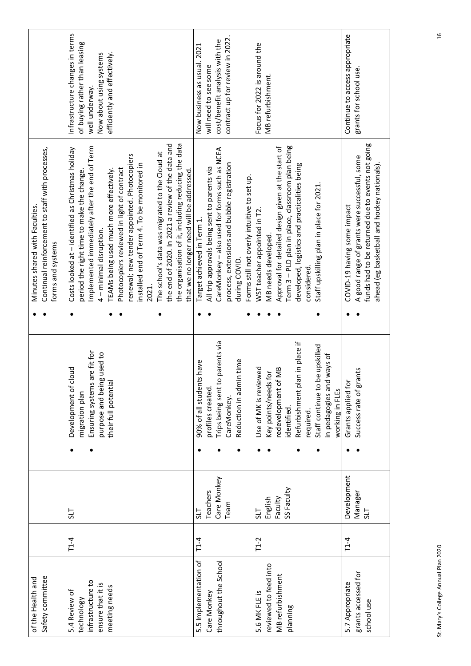| Development of cloud                                                                                      |
|-----------------------------------------------------------------------------------------------------------|
| are fit for<br>gused to<br>their full potential<br>Ensuring systems<br>purpose and bein<br>migration plan |
|                                                                                                           |
| 90% of all students have                                                                                  |
| Trips being sent to parents via<br>profiles created.                                                      |
| CareMonkey.                                                                                               |
| in time<br>Reduction in adm                                                                               |
| Use of MK is reviewed                                                                                     |
| Key points/needs for                                                                                      |
| edevelopment of MB<br>identified.                                                                         |
| an in place if<br>Refurbishment pl<br>required.                                                           |
| be upskilled<br>in pedagogies and ways of<br>Staff continue to                                            |
| Grants applied fo<br>working in FLEs                                                                      |
| ants<br>Success rate of gr                                                                                |
|                                                                                                           |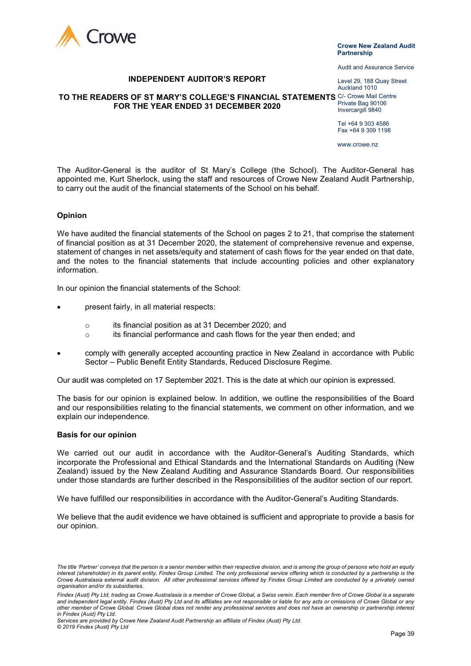

#### Crowe New Zealand Audit **Partnership**

Audit and Assurance Service

Level 29, 188 Quay Street Auckland 1010

#### **INDEPENDENT AUDITOR'S REPORT**

#### **TO THE READERS OF ST MARY'S COLLEGE'S FINANCIAL STATEMENTS** Of Crowe Mail Centre **FOR THE YEAR ENDED 31 DECEMBER 2020**

Private Bag 90106 Invercargill 9840

Tel +64 9 303 4586 Fax +64 9 309 1198

www.crowe.nz

The Auditor-General is the auditor of St Mary's College (the School). The Auditor-General has appointed me, Kurt Sherlock, using the staff and resources of Crowe New Zealand Audit Partnership, to carry out the audit of the financial statements of the School on his behalf.

#### **Opinion**

We have audited the financial statements of the School on pages 2 to 21, that comprise the statement of financial position as at 31 December 2020, the statement of comprehensive revenue and expense, statement of changes in net assets/equity and statement of cash flows for the year ended on that date, and the notes to the financial statements that include accounting policies and other explanatory information.

In our opinion the financial statements of the School:

- present fairly, in all material respects:
	- o its financial position as at 31 December 2020; and
	- $\circ$  its financial performance and cash flows for the vear then ended: and
- comply with generally accepted accounting practice in New Zealand in accordance with Public Sector – Public Benefit Entity Standards, Reduced Disclosure Regime,

Our audit was completed on 17 September 2021. This is the date at which our opinion is expressed.

The basis for our opinion is explained below. In addition, we outline the responsibilities of the Board and our responsibilities relating to the financial statements, we comment on other information, and we explain our independence.

#### **Basis for our opinion**

We carried out our audit in accordance with the Auditor-General's Auditing Standards, which incorporate the Professional and Ethical Standards and the International Standards on Auditing (New Zealand) issued by the New Zealand Auditing and Assurance Standards Board. Our responsibilities under those standards are further described in the Responsibilities of the auditor section of our report.

We have fulfilled our responsibilities in accordance with the Auditor-General's Auditing Standards.

We believe that the audit evidence we have obtained is sufficient and appropriate to provide a basis for our opinion.

*The title 'Partner' conveys that the person is a senior member within their respective division, and is among the group of persons who hold an equity*  interest (shareholder) in its parent entity, Findex Group Limited. The only professional service offering which is conducted by a partnership is the *Crowe Australasia external audit division. All other professional services offered by Findex Group Limited are conducted by a privately owned organisation and/or its subsidiaries.* 

*Findex (Aust) Pty Ltd, trading as Crowe Australasia is a member of Crowe Global, a Swiss verein. Each member firm of Crowe Global is a separate*  and independent legal entity. Findex (Aust) Pty Ltd and its affiliates are not responsible or liable for any acts or omissions of Crowe Global or any *other member of Crowe Global. Crowe Global does not render any professional services and does not have an ownership or partnership interest in Findex (Aust) Pty Ltd.*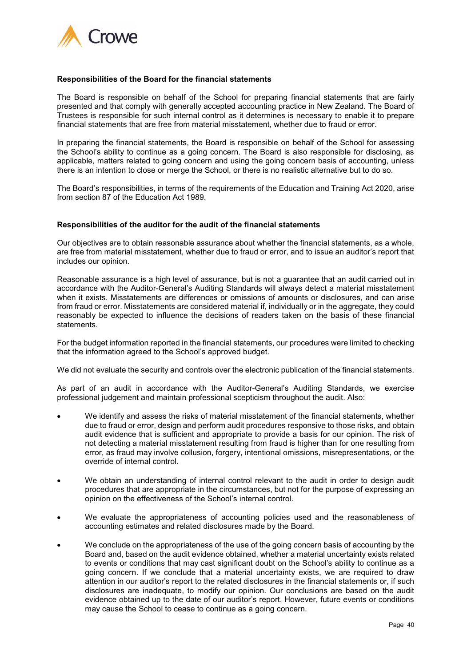

#### **Responsibilities of the Board for the financial statements**

The Board is responsible on behalf of the School for preparing financial statements that are fairly presented and that comply with generally accepted accounting practice in New Zealand. The Board of Trustees is responsible for such internal control as it determines is necessary to enable it to prepare financial statements that are free from material misstatement, whether due to fraud or error.

In preparing the financial statements, the Board is responsible on behalf of the School for assessing the School's ability to continue as a going concern. The Board is also responsible for disclosing, as applicable, matters related to going concern and using the going concern basis of accounting, unless there is an intention to close or merge the School, or there is no realistic alternative but to do so.

The Board's responsibilities, in terms of the requirements of the Education and Training Act 2020, arise from section 87 of the Education Act 1989.

#### **Responsibilities of the auditor for the audit of the financial statements**

Our objectives are to obtain reasonable assurance about whether the financial statements, as a whole, are free from material misstatement, whether due to fraud or error, and to issue an auditor's report that includes our opinion.

Reasonable assurance is a high level of assurance, but is not a guarantee that an audit carried out in accordance with the Auditor-General's Auditing Standards will always detect a material misstatement when it exists. Misstatements are differences or omissions of amounts or disclosures, and can arise from fraud or error. Misstatements are considered material if, individually or in the aggregate, they could reasonably be expected to influence the decisions of readers taken on the basis of these financial statements.

For the budget information reported in the financial statements, our procedures were limited to checking that the information agreed to the School's approved budget.

We did not evaluate the security and controls over the electronic publication of the financial statements.

As part of an audit in accordance with the Auditor-General's Auditing Standards, we exercise professional judgement and maintain professional scepticism throughout the audit. Also:

- We identify and assess the risks of material misstatement of the financial statements, whether due to fraud or error, design and perform audit procedures responsive to those risks, and obtain audit evidence that is sufficient and appropriate to provide a basis for our opinion. The risk of not detecting a material misstatement resulting from fraud is higher than for one resulting from error, as fraud may involve collusion, forgery, intentional omissions, misrepresentations, or the override of internal control.
- We obtain an understanding of internal control relevant to the audit in order to design audit procedures that are appropriate in the circumstances, but not for the purpose of expressing an opinion on the effectiveness of the School's internal control.
- We evaluate the appropriateness of accounting policies used and the reasonableness of accounting estimates and related disclosures made by the Board.
- We conclude on the appropriateness of the use of the going concern basis of accounting by the Board and, based on the audit evidence obtained, whether a material uncertainty exists related to events or conditions that may cast significant doubt on the School's ability to continue as a going concern. If we conclude that a material uncertainty exists, we are required to draw attention in our auditor's report to the related disclosures in the financial statements or, if such disclosures are inadequate, to modify our opinion. Our conclusions are based on the audit evidence obtained up to the date of our auditor's report. However, future events or conditions may cause the School to cease to continue as a going concern.